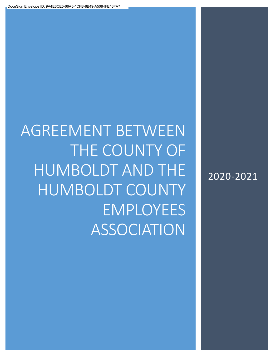# AGREEMENT BETWEEN THE COUNTY OF HUMBOLDT AND THE HUMBOLDT COUNTY EMPLOYEES ASSOCIATION

2020‐2021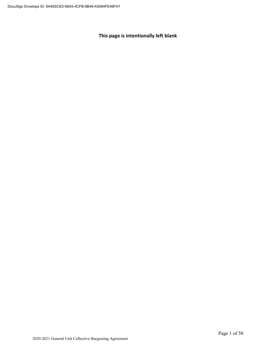**This page is intentionally left blank**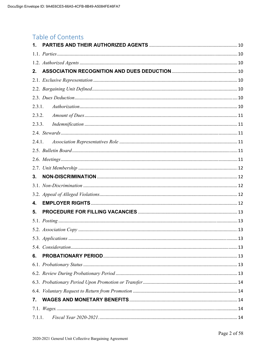| 1.     |  |
|--------|--|
|        |  |
|        |  |
| 2.     |  |
|        |  |
|        |  |
|        |  |
| 2.3.1. |  |
| 2.3.2. |  |
| 2.3.3. |  |
|        |  |
| 2.4.1. |  |
|        |  |
|        |  |
|        |  |
| 3.     |  |
|        |  |
|        |  |
| 4.     |  |
| 5.     |  |
|        |  |
|        |  |
|        |  |
|        |  |
| 6.     |  |
|        |  |
|        |  |
|        |  |
|        |  |
| 7.     |  |
|        |  |
| 7.1.1. |  |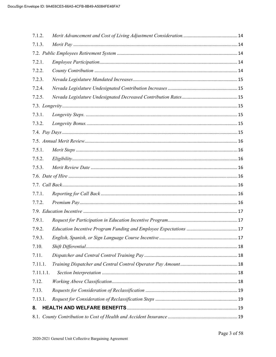| 8.        |  |
|-----------|--|
| 7.13.1.   |  |
| 7.13.     |  |
| 7.12.     |  |
| 7.11.1.1. |  |
| 7.11.1.   |  |
| 7.11.     |  |
| 7.10.     |  |
| 7.9.3.    |  |
| 7.9.2.    |  |
| 7.9.1.    |  |
|           |  |
| 7.7.2.    |  |
| 7.7.1.    |  |
|           |  |
|           |  |
| 7.5.3.    |  |
| 7.5.2.    |  |
| 7.5.1.    |  |
|           |  |
|           |  |
| 7.3.2.    |  |
| 7.3.1.    |  |
|           |  |
| 7.2.5.    |  |
| 7.2.4.    |  |
| 7.2.3.    |  |
| 7.2.2.    |  |
| 7.2.1.    |  |
|           |  |
| 7.1.3.    |  |
| 7.1.2.    |  |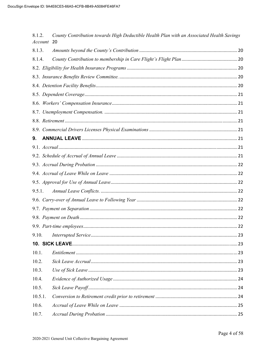| 8.1.2.<br>Account 20 | County Contribution towards High Deductible Health Plan with an Associated Health Savings |    |
|----------------------|-------------------------------------------------------------------------------------------|----|
| 8.1.3.               |                                                                                           |    |
| 8.1.4.               |                                                                                           |    |
|                      |                                                                                           |    |
|                      |                                                                                           |    |
|                      |                                                                                           |    |
|                      |                                                                                           |    |
|                      |                                                                                           |    |
|                      |                                                                                           |    |
|                      |                                                                                           |    |
|                      |                                                                                           |    |
| 9.                   |                                                                                           |    |
|                      |                                                                                           |    |
|                      |                                                                                           |    |
|                      |                                                                                           |    |
|                      |                                                                                           |    |
|                      |                                                                                           |    |
| 9.5.1.               |                                                                                           |    |
|                      |                                                                                           |    |
|                      |                                                                                           |    |
|                      |                                                                                           |    |
|                      |                                                                                           |    |
|                      |                                                                                           | 23 |
|                      |                                                                                           |    |
| 10.1.                |                                                                                           |    |
| 10.2.                |                                                                                           |    |
| 10.3.                |                                                                                           |    |
| 10.4.                |                                                                                           |    |
| 10.5.                |                                                                                           |    |
| 10.5.1.              |                                                                                           |    |
| 10.6.                |                                                                                           |    |
| 10.7.                |                                                                                           |    |
|                      |                                                                                           |    |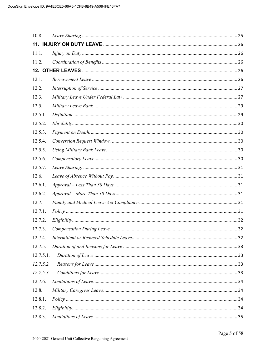| 10.8.     |  |  |  |  |  |
|-----------|--|--|--|--|--|
|           |  |  |  |  |  |
| 11.1.     |  |  |  |  |  |
| 11.2.     |  |  |  |  |  |
|           |  |  |  |  |  |
| 12.1.     |  |  |  |  |  |
| 12.2.     |  |  |  |  |  |
| 12.3.     |  |  |  |  |  |
| 12.5.     |  |  |  |  |  |
| 12.5.1.   |  |  |  |  |  |
| 12.5.2.   |  |  |  |  |  |
| 12.5.3.   |  |  |  |  |  |
| 12.5.4.   |  |  |  |  |  |
| 12.5.5.   |  |  |  |  |  |
| 12.5.6.   |  |  |  |  |  |
| 12.5.7.   |  |  |  |  |  |
| 12.6.     |  |  |  |  |  |
| 12.6.1.   |  |  |  |  |  |
| 12.6.2.   |  |  |  |  |  |
| 12.7.     |  |  |  |  |  |
| 12.7.1.   |  |  |  |  |  |
| 12.7.2.   |  |  |  |  |  |
| 12.7.3.   |  |  |  |  |  |
| 12.7.4.   |  |  |  |  |  |
| 12.7.5.   |  |  |  |  |  |
| 12.7.5.1. |  |  |  |  |  |
| 12.7.5.2. |  |  |  |  |  |
| 12.7.5.3. |  |  |  |  |  |
| 12.7.6.   |  |  |  |  |  |
| 12.8.     |  |  |  |  |  |
| 12.8.1.   |  |  |  |  |  |
| 12.8.2.   |  |  |  |  |  |
| 12.8.3.   |  |  |  |  |  |
|           |  |  |  |  |  |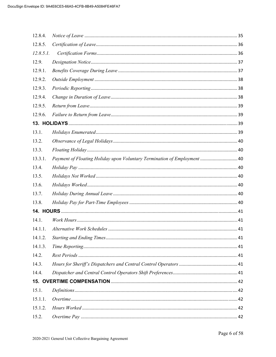| 12.8.4.      |                                                                          |  |
|--------------|--------------------------------------------------------------------------|--|
| 12.8.5.      |                                                                          |  |
| $12.8.5.1$ . |                                                                          |  |
| 12.9.        |                                                                          |  |
| 12.9.1.      |                                                                          |  |
| 12.9.2.      |                                                                          |  |
| 12.9.3.      |                                                                          |  |
| 12.9.4.      |                                                                          |  |
| 12.9.5.      |                                                                          |  |
| 12.9.6.      |                                                                          |  |
|              |                                                                          |  |
| 13.1.        |                                                                          |  |
| 13.2.        |                                                                          |  |
| 13.3.        |                                                                          |  |
| 13.3.1.      | Payment of Floating Holiday upon Voluntary Termination of Employment  40 |  |
| 13.4.        |                                                                          |  |
| 13.5.        |                                                                          |  |
| 13.6.        |                                                                          |  |
| 13.7.        |                                                                          |  |
| 13.8.        |                                                                          |  |
|              |                                                                          |  |
| 14.1.        |                                                                          |  |
| 14.1.1.      |                                                                          |  |
| 14.1.2.      |                                                                          |  |
| 14.1.3.      |                                                                          |  |
| 14.2.        |                                                                          |  |
| 14.3.        |                                                                          |  |
| 14.4.        |                                                                          |  |
|              |                                                                          |  |
| 15.1.        |                                                                          |  |
| 15.1.1.      |                                                                          |  |
| 15.1.2.      |                                                                          |  |
| 15.2.        |                                                                          |  |
|              |                                                                          |  |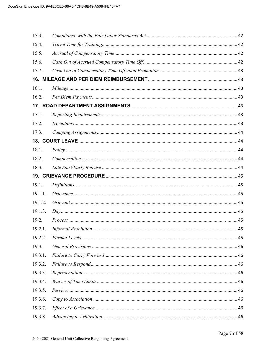| 15.3.   |             |  |
|---------|-------------|--|
| 15.4.   |             |  |
| 15.5.   |             |  |
| 15.6.   |             |  |
| 15.7.   |             |  |
|         |             |  |
| 16.1.   |             |  |
| 16.2.   |             |  |
|         |             |  |
| 17.1.   |             |  |
| 17.2.   |             |  |
| 17.3.   |             |  |
|         |             |  |
| 18.1.   |             |  |
| 18.2.   |             |  |
| 18.3.   |             |  |
|         |             |  |
| 19.1.   |             |  |
| 19.1.1. |             |  |
| 19.1.2. |             |  |
| 19.1.3. | $Day \dots$ |  |
| 19.2.   |             |  |
| 19.2.1. |             |  |
| 19.2.2. |             |  |
| 19.3.   |             |  |
| 19.3.1. |             |  |
| 19.3.2. |             |  |
| 19.3.3. |             |  |
| 19.3.4. |             |  |
| 19.3.5. |             |  |
| 19.3.6. |             |  |
| 19.3.7. |             |  |
| 19.3.8. |             |  |
|         |             |  |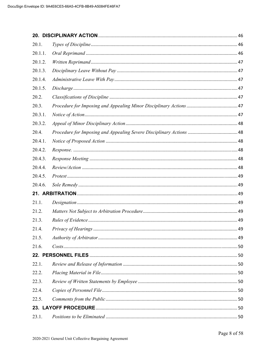| 20.1.   |  |
|---------|--|
| 20.1.1. |  |
| 20.1.2. |  |
| 20.1.3. |  |
| 20.1.4. |  |
| 20.1.5. |  |
| 20.2.   |  |
| 20.3.   |  |
| 20.3.1. |  |
| 20.3.2. |  |
| 20.4.   |  |
| 20.4.1. |  |
| 20.4.2. |  |
| 20.4.3. |  |
| 20.4.4. |  |
| 20.4.5. |  |
| 20.4.6. |  |
|         |  |
| 21.1.   |  |
| 21.2.   |  |
| 21.3.   |  |
| 21.4.   |  |
| 21.5.   |  |
| 21.6.   |  |
|         |  |
| 22.1.   |  |
| 22.2.   |  |
| 22.3.   |  |
| 22.4.   |  |
| 22.5.   |  |
|         |  |
| 23.1.   |  |
|         |  |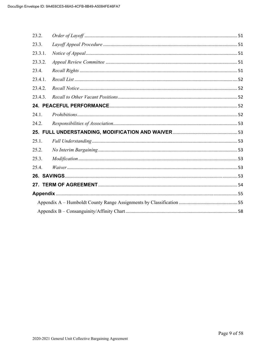| 23.2.   |  |  |  |
|---------|--|--|--|
| 23.3.   |  |  |  |
| 23.3.1. |  |  |  |
| 23.3.2. |  |  |  |
| 23.4.   |  |  |  |
| 23.4.1. |  |  |  |
| 23.4.2. |  |  |  |
| 23.4.3. |  |  |  |
|         |  |  |  |
| 24.1.   |  |  |  |
| 24.2.   |  |  |  |
|         |  |  |  |
| 25.1.   |  |  |  |
| 25.2.   |  |  |  |
| 25.3.   |  |  |  |
| 25.4.   |  |  |  |
|         |  |  |  |
|         |  |  |  |
|         |  |  |  |
|         |  |  |  |
|         |  |  |  |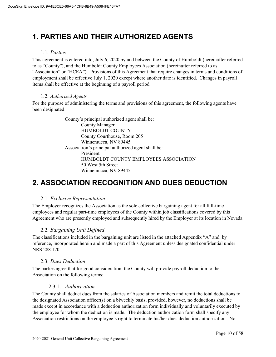# **1. PARTIES AND THEIR AUTHORIZED AGENTS**

### 1.1. *Parties*

This agreement is entered into, July 6, 2020 by and between the County of Humboldt (hereinafter referred to as "County"), and the Humboldt County Employees Association (hereinafter referred to as "Association" or "HCEA"). Provisions of this Agreement that require changes in terms and conditions of employment shall be effective July 1, 2020 except where another date is identified. Changes in payroll items shall be effective at the beginning of a payroll period.

#### 1.2. *Authorized Agents*

For the purpose of administering the terms and provisions of this agreement, the following agents have been designated:

> County's principal authorized agent shall be: County Manager HUMBOLDT COUNTY County Courthouse, Room 205 Winnemucca, NV 89445 Association's principal authorized agent shall be: President HUMBOLDT COUNTY EMPLOYEES ASSOCIATION 50 West 5th Street Winnemucca, NV 89445

# **2. ASSOCIATION RECOGNITION AND DUES DEDUCTION**

# 2.1. *Exclusive Representation*

The Employer recognizes the Association as the sole collective bargaining agent for all full-time employees and regular part-time employees of the County within job classifications covered by this Agreement who are presently employed and subsequently hired by the Employer at its location in Nevada

# 2.2. *Bargaining Unit Defined*

The classifications included in the bargaining unit are listed in the attached Appendix "A" and, by reference, incorporated herein and made a part of this Agreement unless designated confidential under NRS 288.170.

#### 2.3. *Dues Deduction*

The parties agree that for good consideration, the County will provide payroll deduction to the Association on the following terms:

#### 2.3.1. *Authorization*

The County shall deduct dues from the salaries of Association members and remit the total deductions to the designated Association officer(s) on a biweekly basis, provided, however, no deductions shall be made except in accordance with a deduction authorization form individually and voluntarily executed by the employee for whom the deduction is made. The deduction authorization form shall specify any Association restrictions on the employee's right to terminate his/her dues deduction authorization. No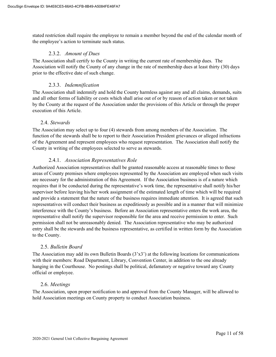stated restriction shall require the employee to remain a member beyond the end of the calendar month of the employee's action to terminate such status.

### 2.3.2. *Amount of Dues*

The Association shall certify to the County in writing the current rate of membership dues. The Association will notify the County of any change in the rate of membership dues at least thirty (30) days prior to the effective date of such change.

# 2.3.3. *Indemnification*

The Association shall indemnify and hold the County harmless against any and all claims, demands, suits and all other forms of liability or costs which shall arise out of or by reason of action taken or not taken by the County at the request of the Association under the provisions of this Article or through the proper execution of this Article.

#### 2.4. *Stewards*

The Association may select up to four (4) stewards from among members of the Association. The function of the stewards shall be to report to their Association President grievances or alleged infractions of the Agreement and represent employees who request representation. The Association shall notify the County in writing of the employees selected to serve as stewards.

#### 2.4.1. *Association Representatives Role*

Authorized Association representatives shall be granted reasonable access at reasonable times to those areas of County premises where employees represented by the Association are employed when such visits are necessary for the administration of this Agreement. If the Association business is of a nature which requires that it be conducted during the representative's work time, the representative shall notify his/her supervisor before leaving his/her work assignment of the estimated length of time which will be required and provide a statement that the nature of the business requires immediate attention. It is agreed that such representatives will conduct their business as expeditiously as possible and in a manner that will minimize interference with the County's business. Before an Association representative enters the work area, the representative shall notify the supervisor responsible for the area and receive permission to enter. Such permission shall not be unreasonably denied. The Association representative who may be authorized entry shall be the stewards and the business representative, as certified in written form by the Association to the County.

#### 2.5. *Bulletin Board*

The Association may add its own Bulletin Boards  $(3'x3')$  at the following locations for communications with their members: Road Department, Library, Convention Center, in addition to the one already hanging in the Courthouse. No postings shall be political, defamatory or negative toward any County official or employee.

#### 2.6. *Meetings*

The Association, upon proper notification to and approval from the County Manager, will be allowed to hold Association meetings on County property to conduct Association business.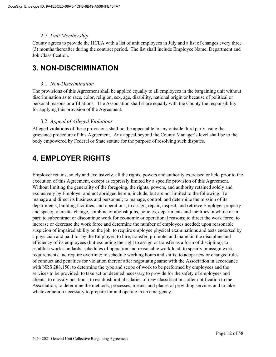#### 2.7. *Unit Membership*

County agrees to provide the HCEA with a list of unit employees in July and a list of changes every three (3) months thereafter during the contract period. The list shall include Employee Name, Department and Job Classification.

# **3. NON-DISCRIMINATION**

#### 3.1. *Non-Discrimination*

The provisions of this Agreement shall be applied equally to all employees in the bargaining unit without discrimination as to race, color, religion, sex, age, disability, national origin or because of political or personal reasons or affiliations. The Association shall share equally with the County the responsibility for applying this provision of the Agreement.

# 3.2. *Appeal of Alleged Violations*

Alleged violations of these provisions shall not be appealable to any outside third party using the grievance procedure of this Agreement. Any appeal beyond the County Manager's level shall be to the body empowered by Federal or State statute for the purpose of resolving such disputes.

# **4. EMPLOYER RIGHTS**

Employer retains, solely and exclusively, all the rights, powers and authority exercised or held prior to the execution of this Agreement, except as expressly limited by a specific provision of this Agreement. Without limiting the generality of the foregoing, the rights, powers, and authority retained solely and exclusively by Employer and not abridged herein, include, but are not limited to the following: To manage and direct its business and personnel; to manage, control, and determine the mission of its departments, building facilities, and operations; to assign, repair, inspect, and retrieve Employer property and space; to create, change, combine or abolish jobs, policies, departments and facilities in whole or in part; to subcontract or discontinue work for economic or operational reasons; to direct the work force; to increase or decrease the work force and determine the number of employees needed; upon reasonable suspicion of impaired ability on the job, to require employee physical examinations and tests endorsed by a physician and paid for by the Employer; to hire, transfer, promote, and maintain the discipline and efficiency of its employees (but excluding the right to assign or transfer as a form of discipline); to establish work standards, schedules of operation and reasonable work load; to specify or assign work requirements and require overtime; to schedule working hours and shifts; to adopt new or changed rules of conduct and penalties for violation thereof after negotiating same with the Association in accordance with NRS 288.150; to determine the type and scope of work to be performed by employees and the services to be provided; to take action deemed necessary to provide for the safety of employees and clients; to classify positions; to establish initial salaries of new classifications after notification to the Association; to determine the methods, processes, means, and places of providing services and to take whatever action necessary to prepare for and operate in an emergency.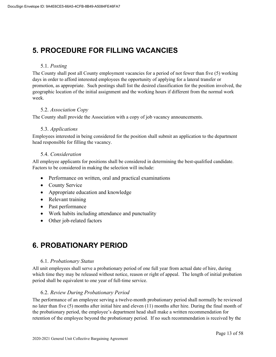# **5. PROCEDURE FOR FILLING VACANCIES**

### 5.1. *Posting*

The County shall post all County employment vacancies for a period of not fewer than five (5) working days in order to afford interested employees the opportunity of applying for a lateral transfer or promotion, as appropriate. Such postings shall list the desired classification for the position involved, the geographic location of the initial assignment and the working hours if different from the normal work week.

#### 5.2. *Association Copy*

The County shall provide the Association with a copy of job vacancy announcements.

#### 5.3. *Applications*

Employees interested in being considered for the position shall submit an application to the department head responsible for filling the vacancy.

#### 5.4. *Consideration*

All employee applicants for positions shall be considered in determining the best-qualified candidate. Factors to be considered in making the selection will include:

- Performance on written, oral and practical examinations
- County Service
- Appropriate education and knowledge
- Relevant training
- Past performance
- Work habits including attendance and punctuality
- Other job-related factors

# **6. PROBATIONARY PERIOD**

#### 6.1. *Probationary Status*

All unit employees shall serve a probationary period of one full year from actual date of hire, during which time they may be released without notice, reason or right of appeal. The length of initial probation period shall be equivalent to one year of full-time service.

# 6.2. *Review During Probationary Period*

The performance of an employee serving a twelve-month probationary period shall normally be reviewed no later than five (5) months after initial hire and eleven (11) months after hire. During the final month of the probationary period, the employee's department head shall make a written recommendation for retention of the employee beyond the probationary period. If no such recommendation is received by the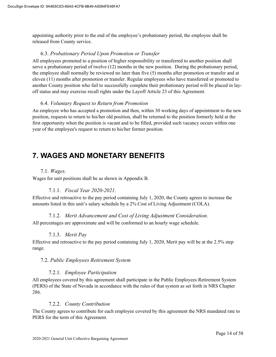appointing authority prior to the end of the employee's probationary period, the employee shall be released from County service.

# 6.3. *Probationary Period Upon Promotion or Transfer*

All employees promoted to a position of higher responsibility or transferred to another position shall serve a probationary period of twelve (12) months in the new position. During the probationary period, the employee shall normally be reviewed no later than five (5) months after promotion or transfer and at eleven (11) months after promotion or transfer. Regular employees who have transferred or promoted to another County position who fail to successfully complete their probationary period will be placed in layoff status and may exercise recall rights under the Layoff Article 23 of this Agreement.

# 6.4. *Voluntary Request to Return from Promotion*

An employee who has accepted a promotion and then, within 30 working days of appointment to the new position, requests to return to his/her old position, shall be returned to the position formerly held at the first opportunity when the position is vacant and to be filled, provided such vacancy occurs within one year of the employee's request to return to his/her former position.

# **7. WAGES AND MONETARY BENEFITS**

# 7.1. *Wages.*

Wages for unit positions shall be as shown in Appendix B.

# 7.1.1. *Fiscal Year 2020-2021.*

Effective and retroactive to the pay period containing July 1, 2020, the County agrees to increase the amounts listed in this unit's salary schedule by a 2% Cost of Living Adjustment (COLA).

# 7.1.2. *Merit Advancement and Cost of Living Adjustment Consideration*.

All percentages are approximate and will be conformed to an hourly wage schedule.

# 7.1.3. *Merit Pay*

Effective and retroactive to the pay period containing July 1, 2020, Merit pay will be at the 2.5% step range.

#### 7.2. *Public Employees Retirement System*

# 7.2.1. *Employee Participation*

All employees covered by this agreement shall participate in the Public Employees Retirement System (PERS) of the State of Nevada in accordance with the rules of that system as set forth in NRS Chapter 286.

# 7.2.2. *County Contribution*

The County agrees to contribute for each employee covered by this agreement the NRS mandated rate to PERS for the term of this Agreement.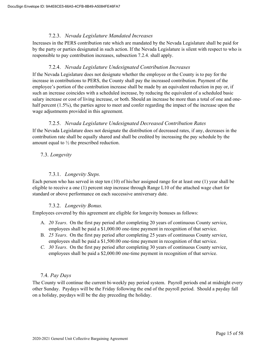#### 7.2.3. *Nevada Legislature Mandated Increases*

Increases in the PERS contribution rate which are mandated by the Nevada Legislature shall be paid for by the party or parties designated in such action. If the Nevada Legislature is silent with respect to who is responsible to pay contribution increases, subsection 7.2.4. shall apply.

#### 7.2.4. *Nevada Legislature Undesignated Contribution Increases*

If the Nevada Legislature does not designate whether the employee or the County is to pay for the increase in contributions to PERS, the County shall pay the increased contribution. Payment of the employee's portion of the contribution increase shall be made by an equivalent reduction in pay or, if such an increase coincides with a scheduled increase, by reducing the equivalent of a scheduled basic salary increase or cost of living increase, or both. Should an increase be more than a total of one and onehalf percent  $(1.5\%)$ , the parties agree to meet and confer regarding the impact of the increase upon the wage adjustments provided in this agreement.

# 7.2.5. *Nevada Legislature Undesignated Decreased Contribution Rates*

If the Nevada Legislature does not designate the distribution of decreased rates, if any, decreases in the contribution rate shall be equally shared and shall be credited by increasing the pay schedule by the amount equal to ½ the prescribed reduction.

#### 7.3. *Longevity*

#### 7.3.1. *Longevity Steps.*

Each person who has served in step ten (10) of his/her assigned range for at least one (1) year shall be eligible to receive a one (1) percent step increase through Range L10 of the attached wage chart for standard or above performance on each successive anniversary date.

# 7.3.2. *Longevity Bonus.*

Employees covered by this agreement are eligible for longevity bonuses as follows:

- A. *20 Years*. On the first pay period after completing 20 years of continuous County service, employees shall be paid a \$1,000.00 one-time payment in recognition of that service.
- B. *25 Years*. On the first pay period after completing 25 years of continuous County service, employees shall be paid a \$1,500.00 one-time payment in recognition of that service.
- *C. 30 Years*. On the first pay period after completing 30 years of continuous County service, employees shall be paid a \$2,000.00 one-time payment in recognition of that service.

#### 7.4. *Pay Days*

The County will continue the current bi-weekly pay period system. Payroll periods end at midnight every other Sunday. Paydays will be the Friday following the end of the payroll period. Should a payday fall on a holiday, paydays will be the day preceding the holiday.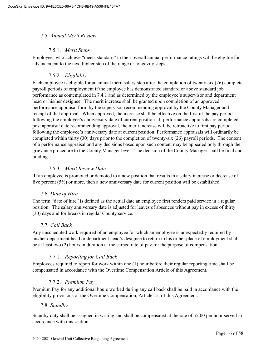# 7.5. *Annual Merit Review*

# 7.5.1. *Merit Steps*

Employees who achieve "meets standard" in their overall annual performance ratings will be eligible for advancement to the next higher step of the range or longevity steps.

# 7.5.2. *Eligibility*

Each employee is eligible for an annual merit salary step after the completion of twenty-six (26) complete payroll periods of employment if the employee has demonstrated standard or above standard job performance as contemplated in 7.4.1 and as determined by the employee's supervisor and department head or his/her designee. The merit increase shall be granted upon completion of an approved performance appraisal form by the supervisor recommending approval by the County Manager and receipt of that approval. When approved, the increase shall be effective on the first of the pay period following the employee's anniversary date of current position. If performance appraisals are completed post appraisal date recommending approval, the merit increase will be retroactive to first pay period following the employee's anniversary date at current position. Performance appraisals will ordinarily be completed within thirty (30) days prior to the completion of twenty-six (26) payroll periods. The content of a performance appraisal and any decisions based upon such content may be appealed only through the grievance procedure to the County Manager level. The decision of the County Manager shall be final and binding.

# 7.5.3. *Merit Review Date*

If an employee is promoted or demoted to a new position that results in a salary increase or decrease of five percent (5%) or more, then a new anniversary date for current position will be established.

# 7.6. *Date of Hire*

The term "date of hire" is defined as the actual date an employee first renders paid service in a regular position. The salary anniversary date is adjusted for leaves of absences without pay in excess of thirty (30) days and for breaks in regular County service.

# 7.7. *Call Back*

Any unscheduled work required of an employee for which an employee is unexpectedly required by his/her department head or department head's designee to return to his or her place of employment shall be at least two (2) hours in duration at the earned rate of pay for the purpose of compensation.

# 7.7.1. *Reporting for Call Back*

Employees required to report for work within one (1) hour before their regular reporting time shall be compensated in accordance with the Overtime Compensation Article of this Agreement.

# 7.7.2. *Premium Pay*

Premium Pay for any additional hours worked during any call back shall be paid in accordance with the eligibility provisions of the Overtime Compensation, Article 15, of this Agreement.

# 7.8. *Standby*

Standby duty shall be assigned in writing and shall be compensated at the rate of \$2.00 per hour served in accordance with this section.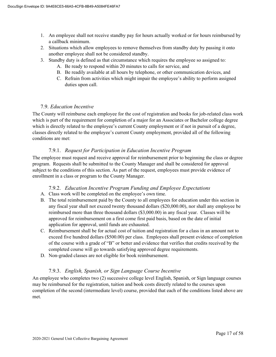- 1. An employee shall not receive standby pay for hours actually worked or for hours reimbursed by a callback minimum.
- 2. Situations which allow employees to remove themselves from standby duty by passing it onto another employee shall not be considered standby.
- 3. Standby duty is defined as that circumstance which requires the employee so assigned to:
	- A. Be ready to respond within 20 minutes to calls for service, and
	- B. Be readily available at all hours by telephone, or other communication devices, and
	- C. Refrain from activities which might impair the employee's ability to perform assigned duties upon call.

# 7.9. *Education Incentive*

The County will reimburse each employee for the cost of registration and books for job-related class work which is part of the requirement for completion of a major for an Associates or Bachelor college degree which is directly related to the employee's current County employment or if not in pursuit of a degree, classes directly related to the employee's current County employment, provided all of the following conditions are met:

# 7.9.1. *Request for Participation in Education Incentive Program*

The employee must request and receive approval for reimbursement prior to beginning the class or degree program. Requests shall be submitted to the County Manager and shall be considered for approval subject to the conditions of this section. As part of the request, employees must provide evidence of enrollment in a class or program to the County Manager.

# 7.9.2. *Education Incentive Program Funding and Employee Expectations*

- A. Class work will be completed on the employee's own time.
- B. The total reimbursement paid by the County to all employees for education under this section in any fiscal year shall not exceed twenty thousand dollars (\$20,000.00), nor shall any employee be reimbursed more than three thousand dollars (\$3,000.00) in any fiscal year. Classes will be approved for reimbursement on a first come first paid basis, based on the date of initial application for approval, until funds are exhausted.
- C. Reimbursement shall be for actual cost of tuition and registration for a class in an amount not to exceed five hundred dollars (\$500.00) per class. Employees shall present evidence of completion of the course with a grade of "B" or better and evidence that verifies that credits received by the completed course will go towards satisfying approved degree requirements.
- D. Non-graded classes are not eligible for book reimbursement.

# 7.9.3. *English, Spanish, or Sign Language Course Incentive*

An employee who completes two (2) successive college level English, Spanish, or Sign language courses may be reimbursed for the registration, tuition and book costs directly related to the courses upon completion of the second (intermediate level) course, provided that each of the conditions listed above are met.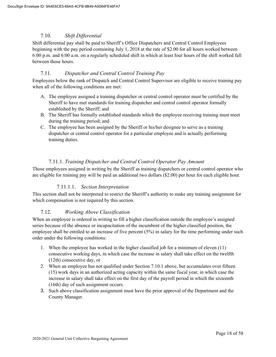# 7.10. *Shift Differential*

Shift differential pay shall be paid to Sheriff's Office Dispatchers and Central Control Employees beginning with the pay period containing July 1, 2018 at the rate of \$2.00 for all hours worked between 6:00 p.m. and 6:00 a.m. on a regularly scheduled shift in which at least four hours of the shift worked fall between those hours.

# 7.11. *Dispatcher and Central Control Training Pay*

Employees below the rank of Dispatch and Central Control Supervisor are eligible to receive training pay when all of the following conditions are met:

- A. The employee assigned a training dispatcher or central control operator must be certified by the Sheriff to have met standards for training dispatcher and central control operator formally established by the Sheriff; and
- B. The Sheriff has formally established standards which the employee receiving training must meet during the training period; and
- C. The employee has been assigned by the Sheriff or his/her designee to serve as a training dispatcher or central control operator for a particular employee and is actually performing training duties.

# 7.11.1. *Training Dispatcher and Central Control Operator Pay Amount*

Those employees assigned in writing by the Sheriff as training dispatchers or central control operator who are eligible for training pay will be paid an additional two dollars (\$2.00) per hour for each eligible hour.

# 7.11.1.1. *Section Interpretation*

This section shall not be interpreted to restrict the Sheriff's authority to make any training assignment for which compensation is not required by this section.

# 7.12. *Working Above Classification*

When an employee is ordered in writing to fill a higher classification outside the employee's assigned series because of the absence or incapacitation of the incumbent of the higher classified position, the employee shall be entitled to an increase of five percent (5%) in salary for the time performing under such order under the following conditions:

- 1. When the employee has worked in the higher classified job for a minimum of eleven (11) consecutive working days, in which case the increase in salary shall take effect on the twelfth (12th) consecutive day, or
- 2. When an employee has not qualified under Section 7.10.1 above, but accumulates over fifteen (15) work days in an authorized acting capacity within the same fiscal year, in which case the increase in salary shall take effect on the first day of the payroll period in which the sixteenth (16th) day of such assignment occurs.
- 3. Such above classification assignment must have the prior approval of the Department and the County Manager.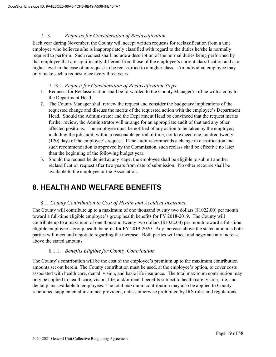### 7.13. *Requests for Consideration of Reclassification*

Each year during November, the County will accept written requests for reclassification from a unit employee who believes s/he is inappropriately classified with regard to the duties he/she is normally required to perform. Such request shall include a description of the normal duties being performed by that employee that are significantly different from those of the employee's current classification and at a higher level in the case of an request to be reclassified to a higher class. An individual employee may only make such a request once every three years.

#### 7.13.1. *Request for Consideration of Reclassification Steps*

- 1. Requests for Reclassification shall be forwarded to the County Manager's office with a copy to the Department Head.
- 2. The County Manager shall review the request and consider the budgetary implications of the requested change and discuss the merits of the requested action with the employee's Department Head. Should the Administrator and the Department Head be convinced that the request merits further review, the Administrator will arrange for an appropriate audit of that and any other affected positions. The employee must be notified of any action to be taken by the employer, including the job audit, within a reasonable period of time, not to exceed one hundred twenty (120) days of the employee's request. If the audit recommends a change in classification and such recommendation is approved by the Commission, such reclass shall be effective no later than the beginning of the following budget year.
- 3. Should the request be denied at any stage, the employee shall be eligible to submit another reclassification request after two years from date of submission. No other recourse shall be available to the employee or the Association.

# **8. HEALTH AND WELFARE BENEFITS**

#### 8.1. *County Contribution to Cost of Health and Accident Insurance*

The County will contribute up to a maximum of one thousand twenty two dollars (\$1022.00) per month toward a full-time eligible employee's group health benefits for FY 2018-2019. The County will contribute up to a maximum of one thousand twenty two dollars (\$1022.00) per month toward a full-time eligible employee's group health benefits for FY 2019-2020. Any increase above the stated amounts both parties will meet and negotiate regarding the increase. Both parties will meet and negotiate any increase above the stated amounts.

#### 8.1.1. *Benefits Eligible for County Contribution*

The County's contribution will be the cost of the employee's premium up to the maximum contribution amounts set out herein. The County contribution must be used, at the employee's option, to cover costs associated with health care, dental, vision, and basic life insurance. The total maximum contribution may only be applied to health care, vision, life, and/or dental benefits subject to health care, vision, life, and dental plans available to employees. The total maximum contribution may also be applied to County sanctioned supplemental insurance providers, unless otherwise prohibited by IRS rules and regulations.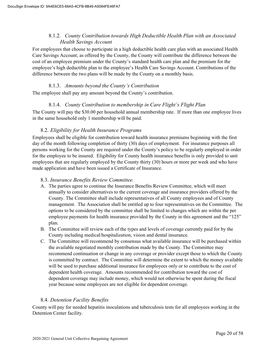# 8.1.2. *County Contribution towards High Deductible Health Plan with an Associated Health Savings Account*

For employees that choose to participate in a high deductible health care plan with an associated Health Care Savings Account; as offered by the County, the County will contribute the difference between the cost of an employee premium under the County's standard health care plan and the premium for the employee's high deductible plan to the employee's Health Care Savings Account. Contributions of the difference between the two plans will be made by the County on a monthly basis.

#### 8.1.3. *Amounts beyond the County's Contribution*

The employee shall pay any amount beyond the County's contribution.

#### 8.1.4. *County Contribution to membership in Care Flight's Flight Plan*

The County will pay the \$30.00 per household annual membership rate. If more than one employee lives in the same household only 1 membership will be paid.

#### 8.2. *Eligibility for Health Insurance Programs*

Employees shall be eligible for contribution toward health insurance premiums beginning with the first day of the month following completion of thirty (30) days of employment. For insurance purposes all persons working for the County are required under the County's policy to be regularly employed in order for the employee to be insured. Eligibility for County health insurance benefits is only provided to unit employees that are regularly employed by the County thirty (30) hours or more per week and who have made application and have been issued a Certificate of Insurance.

#### 8.3. *Insurance Benefits Review Committee.*

- A. The parties agree to continue the Insurance Benefits Review Committee, which will meet annually to consider alternatives to the current coverage and insurance providers offered by the County. The Committee shall include representatives of all County employees and of County management. The Association shall be entitled up to four representatives on the Committee. The options to be considered by the committee shall be limited to changes which are within the per employee payments for health insurance provided by the County in this agreement and the "125" plan.
- B. The Committee will review each of the types and levels of coverage currently paid for by the County including medical/hospitalization, vision and dental insurance.
- C. The Committee will recommend by consensus what available insurance will be purchased within the available negotiated monthly contribution made by the County. The Committee may recommend continuation or change in any coverage or provider except those to which the County is committed by contract. The Committee will determine the extent to which the money available will be used to purchase additional insurance for employees only or to contribute to the cost of dependent health coverage. Amounts recommended for contribution toward the cost of dependent coverage may include money, which would not otherwise be spent during the fiscal year because some employees are not eligible for dependent coverage.

#### 8.4. *Detention Facility Benefits*

County will pay for needed hepatitis inoculations and tuberculosis tests for all employees working in the Detention Center facility.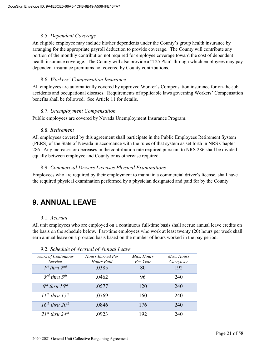#### 8.5. *Dependent Coverage*

An eligible employee may include his/her dependents under the County's group health insurance by arranging for the appropriate payroll deduction to provide coverage. The County will contribute any portion of the monthly contribution not required for employee coverage toward the cost of dependent health insurance coverage. The County will also provide a "125 Plan" through which employees may pay dependent insurance premiums not covered by County contributions.

#### 8.6. *Workers' Compensation Insurance*

All employees are automatically covered by approved Worker's Compensation insurance for on-the-job accidents and occupational diseases. Requirements of applicable laws governing Workers' Compensation benefits shall be followed. See Article 11 for details.

#### 8.7. *Unemployment Compensation.*

Public employees are covered by Nevada Unemployment Insurance Program.

#### 8.8. *Retirement*

All employees covered by this agreement shall participate in the Public Employees Retirement System (PERS) of the State of Nevada in accordance with the rules of that system as set forth in NRS Chapter 286. Any increases or decreases in the contribution rate required pursuant to NRS 286 shall be divided equally between employee and County or as otherwise required.

#### 8.9. *Commercial Drivers Licenses Physical Examinations*

Employees who are required by their employment to maintain a commercial driver's license, shall have the required physical examination performed by a physician designated and paid for by the County.

# **9. ANNUAL LEAVE**

#### 9.1. *Accrual*

All unit employees who are employed on a continuous full-time basis shall accrue annual leave credits on the basis on the schedule below. Part-time employees who work at least twenty (20) hours per week shall earn annual leave on a prorated basis based on the number of hours worked in the pay period.

| Years of Continuous<br>Service | Hours Earned Per<br>Hours Paid | Max. Hours<br>Per Year | Max. Hours |  |
|--------------------------------|--------------------------------|------------------------|------------|--|
|                                |                                |                        | Carryover  |  |
| $I^{st}$ thru $2^{nd}$         | .0385                          | 80                     | 192        |  |
| $3^{rd}$ thru $5^{th}$         | .0462                          | 96                     | 240        |  |
| $6^{th}$ thru $10^{th}$        | .0577                          | 120                    | 240        |  |
| $11^{th}$ thru $15^{th}$       | .0769                          | 160                    | 240        |  |
| $16^{th}$ thru $20^{th}$       | .0846                          | 176                    | 240        |  |
| $21^{st}$ thru $24^{th}$       | .0923                          | 192                    | 240        |  |

# 9.2. *Schedule of Accrual of Annual Leave*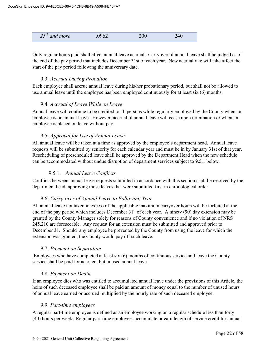| $25th$ and more<br>0962<br>200<br>240 |  |
|---------------------------------------|--|
|---------------------------------------|--|

Only regular hours paid shall effect annual leave accrual. Carryover of annual leave shall be judged as of the end of the pay period that includes December 31st of each year. New accrual rate will take affect the start of the pay period following the anniversary date.

#### 9.3. *Accrual During Probation*

Each employee shall accrue annual leave during his/her probationary period, but shall not be allowed to use annual leave until the employee has been employed continuously for at least six (6) months.

#### 9.4. *Accrual of Leave While on Leave*

Annual leave will continue to be credited to all persons while regularly employed by the County when an employee is on annual leave. However, accrual of annual leave will cease upon termination or when an employee is placed on leave without pay.

# 9.5. *Approval for Use of Annual Leave*

All annual leave will be taken at a time as approved by the employee's department head. Annual leave requests will be submitted by seniority for each calendar year and must be in by January 31st of that year. Rescheduling of prescheduled leave shall be approved by the Department Head when the new schedule can be accommodated without undue disruption of department services subject to 9.5.1 below.

#### 9.5.1. *Annual Leave Conflicts.*

Conflicts between annual leave requests submitted in accordance with this section shall be resolved by the department head, approving those leaves that were submitted first in chronological order.

# 9.6. *Carry-over of Annual Leave to Following Year*

All annual leave not taken in excess of the applicable maximum carryover hours will be forfeited at the end of the pay period which includes December  $31<sup>st</sup>$  of each year. A ninety (90) day extension may be granted by the County Manager solely for reasons of County convenience and if no violation of NRS 245.210 are foreseeable. Any request for an extension must be submitted and approved prior to December 31. Should any employee be prevented by the County from using the leave for which the extension was granted, the County would pay off such leave.

#### 9.7. *Payment on Separation*

Employees who have completed at least six (6) months of continuous service and leave the County service shall be paid for accrued, but unused annual leave.

#### 9.8. *Payment on Death*

If an employee dies who was entitled to accumulated annual leave under the provisions of this Article, the heirs of such deceased employee shall be paid an amount of money equal to the number of unused hours of annual leave earned or accrued multiplied by the hourly rate of such deceased employee.

#### 9.9. *Part-time employees*

A regular part-time employee is defined as an employee working on a regular schedule less than forty (40) hours per week. Regular part-time employees accumulate or earn length of service credit for annual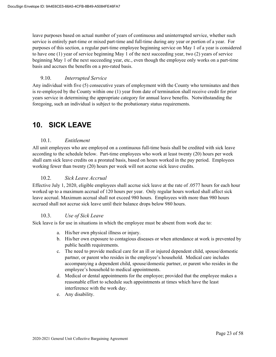leave purposes based on actual number of years of continuous and uninterrupted service, whether such service is entirely part-time or mixed part-time and full-time during any year or portion of a year. For purposes of this section, a regular part-time employee beginning service on May 1 of a year is considered to have one (1) year of service beginning May 1 of the next succeeding year, two (2) years of service beginning May 1 of the next succeeding year, etc., even though the employee only works on a part-time basis and accrues the benefits on a pro-rated basis.

#### 9.10. *Interrupted Service*

Any individual with five (5) consecutive years of employment with the County who terminates and then is re-employed by the County within one (1) year from date of termination shall receive credit for prior years service in determining the appropriate category for annual leave benefits. Notwithstanding the foregoing, such an individual is subject to the probationary status requirements.

# **10. SICK LEAVE**

#### 10.1. *Entitlement*

All unit employees who are employed on a continuous full-time basis shall be credited with sick leave according to the schedule below. Part-time employees who work at least twenty (20) hours per week shall earn sick leave credits on a prorated basis, based on hours worked in the pay period. Employees working fewer than twenty (20) hours per week will not accrue sick leave credits.

#### 10.2. *Sick Leave Accrual*

Effective July 1, 2020, eligible employees shall accrue sick leave at the rate of .0577 hours for each hour worked up to a maximum accrual of 120 hours per year. Only regular hours worked shall affect sick leave accrual. Maximum accrual shall not exceed 980 hours. Employees with more than 980 hours accrued shall not accrue sick leave until their balance drops below 980 hours.

#### 10.3. *Use of Sick Leave*

Sick leave is for use in situations in which the employee must be absent from work due to:

- a. His/her own physical illness or injury.
- b. His/her own exposure to contagious diseases or when attendance at work is prevented by public health requirements.
- c. The need to provide medical care for an ill or injured dependent child, spouse/domestic partner, or parent who resides in the employee's household. Medical care includes accompanying a dependent child, spouse/domestic partner, or parent who resides in the employee's household to medical appointments.
- d. Medical or dental appointments for the employee; provided that the employee makes a reasonable effort to schedule such appointments at times which have the least interference with the work day.
- e. Any disability.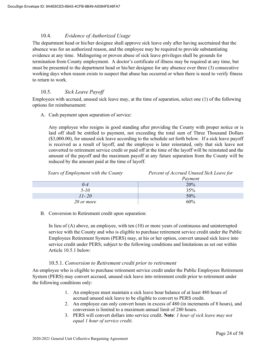#### 10.4. *Evidence of Authorized Usage*

The department head or his/her designee shall approve sick leave only after having ascertained that the absence was for an authorized reason, and the employee may be required to provide substantiating evidence at any time. Malingering or proven abuse of sick leave privileges shall be grounds for termination from County employment. A doctor's certificate of illness may be required at any time, but must be presented to the department head or his/her designee for any absence over three (3) consecutive working days when reason exists to suspect that abuse has occurred or when there is need to verify fitness to return to work.

# 10.5. *Sick Leave Payoff*

Employees with accrued, unused sick leave may, at the time of separation, select one (1) of the following options for reimbursement:

A. Cash payment upon separation of service:

Any employee who resigns in good standing after providing the County with proper notice or is laid off shall be entitled to payment, not exceeding the total sum of Three Thousand Dollars (\$3,000.00), for unused sick leave according to the schedule set forth below. If a sick leave payoff is received as a result of layoff, and the employee is later reinstated, only that sick leave not converted to retirement service credit or paid off at the time of the layoff will be reinstated and the amount of the payoff and the maximum payoff at any future separation from the County will be reduced by the amount paid at the time of layoff.

*Years of Employment with the County Percent of Accrued Unused Sick Leave for* 

| Payment    |     |
|------------|-----|
| 0-4        | 20% |
| $5 - 10$   | 35% |
| $11 - 20$  | 50% |
| 20 or more | 60% |

#### B. Conversion to Retirement credit upon separation:

In lieu of  $(A)$  above, an employee, with ten  $(10)$  or more years of continuous and uninterrupted service with the County and who is eligible to purchase retirement service credit under the Public Employees Retirement System (PERS) may, at his or her option, convert unused sick leave into service credit under PERS; subject to the following conditions and limitations as set out within Article 10.5.1 below:

#### 10.5.1. *Conversion to Retirement credit prior to retirement*

An employee who is eligible to purchase retirement service credit under the Public Employees Retirement System (PERS) may convert accrued, unused sick leave into retirement credit prior to retirement under the following conditions only:

- 1. An employee must maintain a sick leave hour balance of at least 480 hours of accrued unused sick leave to be eligible to convert to PERS credit.
- 2. An employee can only convert hours in excess of 480 (in increments of 8 hours), and conversion is limited to a maximum annual limit of 280 hours.
- 3. PERS will convert dollars into service credit. **Note**: *1 hour of sick leave may not equal 1 hour of service credit*.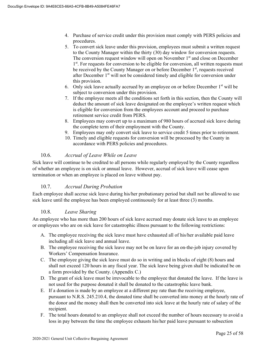- 4. Purchase of service credit under this provision must comply with PERS policies and procedures.
- 5. To convert sick leave under this provision, employees must submit a written request to the County Manager within the thirty (30) day window for conversion requests*.*  The conversion request window will open on November 1<sup>st</sup> and close on December  $1<sup>st</sup>$ . For requests for conversion to be eligible for conversion, all written requests must be received by the County Manager on or before December 1<sup>st</sup>, requests received after December 1st will not be considered timely and eligible for conversion under this provision.
- 6. Only sick leave actually accrued by an employee on or before December  $1<sup>st</sup>$  will be subject to conversion under this provision.
- 7. If the employee meets all the conditions set forth in this section, then the County will deduct the amount of sick leave designated on the employee's written request which is eligible for conversion from the employees account and proceed to purchase retirement service credit from PERS.
- 8. Employees may convert up to a maximum of 980 hours of accrued sick leave during the complete term of their employment with the County.
- 9. Employees may only convert sick leave to service credit 5 times prior to retirement.
- 10. Timely and eligible requests for conversion will be processed by the County in accordance with PERS policies and procedures.

# 10.6. *Accrual of Leave While on Leave*

Sick leave will continue to be credited to all persons while regularly employed by the County regardless of whether an employee is on sick or annual leave. However, accrual of sick leave will cease upon termination or when an employee is placed on leave without pay.

# 10.7. *Accrual During Probation*

Each employee shall accrue sick leave during his/her probationary period but shall not be allowed to use sick leave until the employee has been employed continuously for at least three (3) months.

# 10.8. *Leave Sharing*

An employee who has more than 200 hours of sick leave accrued may donate sick leave to an employee or employees who are on sick leave for catastrophic illness pursuant to the following restrictions:

- A. The employee receiving the sick leave must have exhausted all of his/her available paid leave including all sick leave and annual leave.
- B. The employee receiving the sick leave may not be on leave for an on-the-job injury covered by Workers' Compensation Insurance.
- C. The employee giving the sick leave must do so in writing and in blocks of eight (8) hours and shall not exceed 120 hours in any fiscal year. The sick leave being given shall be indicated be on a form provided by the County. (Appendix C.)
- D. The grant of sick leave must be irrevocable to the employee that donated the leave. If the leave is not used for the purpose donated it shall be donated to the catastrophic leave bank.
- E. If a donation is made by an employee at a different pay rate than the receiving employee, pursuant to N.R.S. 245.210.4, the donated time shall be converted into money at the hourly rate of the donor and the money shall then be converted into sick leave at the hourly rate of salary of the recipient.
- F. The total hours donated to an employee shall not exceed the number of hours necessary to avoid a loss in pay between the time the employee exhausts his/her paid leave pursuant to subsection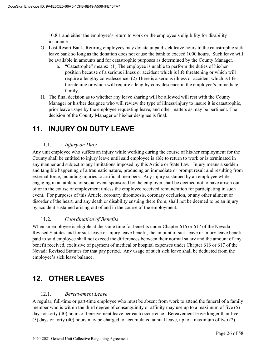10.8.1 and either the employee's return to work or the employee's eligibility for disability insurance.

- G. Last Resort Bank. Retiring employees may donate unpaid sick leave hours to the catastrophic sick leave bank so long as the donation does not cause the bank to exceed 1000 hours. Such leave will be available in amounts and for catastrophic purposes as determined by the County Manager.
	- a. "Catastrophe" means: (1) The employee is unable to perform the duties of his/her position because of a serious illness or accident which is life threatening or which will require a lengthy convalescence; (2) There is a serious illness or accident which is life threatening or which will require a lengthy convalescence in the employee's immediate family.
- H. The final decision as to whether any leave sharing will be allowed will rest with the County Manager or his/her designee who will review the type of illness/injury to insure it is catastrophic, prior leave usage by the employee requesting leave, and other matters as may be pertinent. The decision of the County Manager or his/her designee is final.

# **11. INJURY ON DUTY LEAVE**

# 11.1. *Injury on Duty*

Any unit employee who suffers an injury while working during the course of his/her employment for the County shall be entitled to injury leave until said employee is able to return to work or is terminated in any manner and subject to any limitations imposed by this Article or State Law. Injury means a sudden and tangible happening of a traumatic nature, producing an immediate or prompt result and resulting from external force, including injuries to artificial members. Any injury sustained by an employee while engaging in an athletic or social event sponsored by the employer shall be deemed not to have arisen out of or in the course of employment unless the employee received remuneration for participating in such event. For purposes of this Article, coronary thrombosis, coronary occlusion, or any other ailment or disorder of the heart, and any death or disability ensuing there from, shall not be deemed to be an injury by accident sustained arising out of and in the course of the employment.

# 11.2. *Coordination of Benefits*

When an employee is eligible at the same time for benefits under Chapter 616 or 617 of the Nevada Revised Statutes and for sick leave or injury leave benefit, the amount of sick leave or injury leave benefit paid to said employee shall not exceed the differences between their normal salary and the amount of any benefit received, exclusive of payment of medical or hospital expenses under Chapter 616 or 617 of the Nevada Revised Statutes for that pay period. Any usage of such sick leave shall be deducted from the employee's sick leave balance.

# **12. OTHER LEAVES**

# 12.1. *Bereavement Leave*

A regular, full-time or part-time employee who must be absent from work to attend the funeral of a family member who is within the third degree of consanguinity or affinity may use up to a maximum of five (5) days or forty (40) hours of bereavement leave per each occurrence. Bereavement leave longer than five (5) days or forty (40) hours may be charged to accumulated annual leave, up to a maximum of two (2)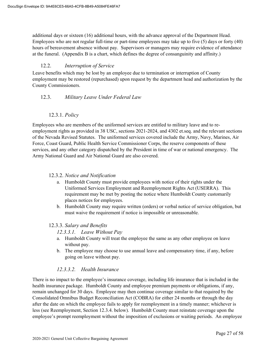additional days or sixteen (16) additional hours, with the advance approval of the Department Head. Employees who are not regular full-time or part-time employees may take up to five (5) days or forty (40) hours of bereavement absence without pay. Supervisors or managers may require evidence of attendance at the funeral. (Appendix B is a chart, which defines the degree of consanguinity and affinity.)

# 12.2. *Interruption of Service*

Leave benefits which may be lost by an employee due to termination or interruption of County employment may be restored (repurchased) upon request by the department head and authorization by the County Commissioners.

#### 12.3. *Military Leave Under Federal Law*

#### 12.3.1. *Policy*

Employees who are members of the uniformed services are entitled to military leave and to reemployment rights as provided in 38 USC, sections 2021-2024, and 4302 et.seq. and the relevant sections of the Nevada Revised Statutes. The uniformed services covered include the Army, Navy, Marines, Air Force, Coast Guard, Public Health Service Commissioner Corps, the reserve components of these services, and any other category dispatched by the President in time of war or national emergency. The Army National Guard and Air National Guard are also covered.

#### 12.3.2. *Notice and Notification*

- a. Humboldt County must provide employees with notice of their rights under the Uniformed Services Employment and Reemployment Rights Act (USERRA). This requirement may be met by posting the notice where Humboldt County customarily places notices for employees.
- b. Humboldt County may require written (orders) or verbal notice of service obligation, but must waive the requirement if notice is impossible or unreasonable.

#### 12.3.3. *Salary and Benefits*

*12.3.3.1. Leave Without Pay* 

- a. Humboldt County will treat the employee the same as any other employee on leave without pay.
- b. The employee may choose to use annual leave and compensatory time, if any, before going on leave without pay.

# *12.3.3.2. Health Insurance*

There is no impact to the employee's insurance coverage, including life insurance that is included in the health insurance package. Humboldt County and employee premium payments or obligations, if any, remain unchanged for 30 days. Employee may then continue coverage similar to that required by the Consolidated Omnibus Budget Reconciliation Act (COBRA) for either 24 months or through the day after the date on which the employee fails to apply for reemployment in a timely manner; whichever is less (see Reemployment, Section 12.3.4. below). Humboldt County must reinstate coverage upon the employee's prompt reemployment without the imposition of exclusions or waiting periods. An employee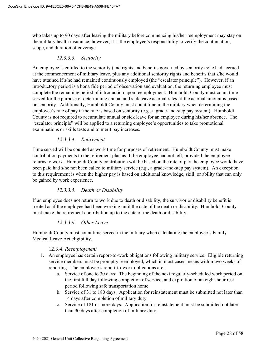who takes up to 90 days after leaving the military before commencing his/her reemployment may stay on the military health insurance; however, it is the employee's responsibility to verify the continuation, scope, and duration of coverage.

#### *12.3.3.3. Seniority*

An employee is entitled to the seniority (and rights and benefits governed by seniority) s/he had accrued at the commencement of military leave, plus any additional seniority rights and benefits that s/he would have attained if s/he had remained continuously employed (the "escalator principle"). However, if an introductory period is a bona fide period of observation and evaluation, the returning employee must complete the remaining period of introduction upon reemployment. Humboldt County must count time served for the purpose of determining annual and sick leave accrual rates, if the accrual amount is based on seniority. Additionally, Humboldt County must count time in the military when determining the employee's rate of pay if the rate is based on seniority (e.g., a grade-and-step pay system). Humboldt County is not required to accumulate annual or sick leave for an employee during his/her absence. The "escalator principle" will be applied to a returning employee's opportunities to take promotional examinations or skills tests and to merit pay increases.

#### *12.3.3.4. Retirement*

Time served will be counted as work time for purposes of retirement. Humboldt County must make contribution payments to the retirement plan as if the employee had not left, provided the employee returns to work. Humboldt County contribution will be based on the rate of pay the employee would have been paid had s/he not been called to military service (e.g., a grade-and-step pay system). An exception to this requirement is when the higher pay is based on additional knowledge, skill, or ability that can only be gained by work experience.

#### *12.3.3.5. Death or Disability*

If an employee does not return to work due to death or disability, the survivor or disability benefit is treated as if the employee had been working until the date of the death or disability. Humboldt County must make the retirement contribution up to the date of the death or disability.

#### *12.3.3.6. Other Leave*

Humboldt County must count time served in the military when calculating the employee's Family Medical Leave Act eligibility.

#### 12.3.4. *Reemployment*

- 1. An employee has certain report-to-work obligations following military service. Eligible returning service members must be promptly reemployed, which in most cases means within two weeks of reporting. The employee's report-to-work obligations are:
	- a. Service of one to 30 days: The beginning of the next regularly-scheduled work period on the first full day following completion of service, and expiration of an eight-hour rest period following safe transportation home.
	- b. Service of 31 to 180 days: Application for reinstatement must be submitted not later than 14 days after completion of military duty.
	- c. Service of 181 or more days: Application for reinstatement must be submitted not later than 90 days after completion of military duty.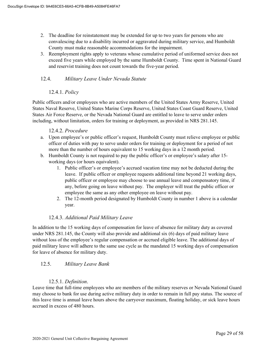- 2. The deadline for reinstatement may be extended for up to two years for persons who are convalescing due to a disability incurred or aggravated during military service, and Humboldt County must make reasonable accommodations for the impairment.
- 3. Reemployment rights apply to veterans whose cumulative period of uniformed service does not exceed five years while employed by the same Humboldt County. Time spent in National Guard and reservist training does not count towards the five-year period.

# 12.4. *Military Leave Under Nevada Statute*

# 12.4.1. *Policy*

Public officers and/or employees who are active members of the United States Army Reserve, United States Naval Reserve, United States Marine Corps Reserve, United States Coast Guard Reserve, United States Air Force Reserve, or the Nevada National Guard are entitled to leave to serve under orders including, without limitation, orders for training or deployment, as provided in NRS 281.145.

#### 12.4.2. *Procedure*

- a. Upon employee's or public officer's request, Humboldt County must relieve employee or public officer of duties with pay to serve under orders for training or deployment for a period of not more than the number of hours equivalent to 15 working days in a 12 month period.
- b. Humboldt County is not required to pay the public officer's or employee's salary after 15 working days (or hours equivalent).
	- 1. Public officer's or employee's accrued vacation time may not be deducted during the leave. If public officer or employee requests additional time beyond 21 working days, public officer or employee may choose to use annual leave and compensatory time, if any, before going on leave without pay. The employer will treat the public officer or employee the same as any other employee on leave without pay.
	- 2. The 12-month period designated by Humboldt County in number 1 above is a calendar year.

# 12.4.3. *Additional Paid Military Leave*

In addition to the 15 working days of compensation for leave of absence for military duty as covered under NRS 281.145, the County will also provide and additional six (6) days of paid military leave without loss of the employee's regular compensation or accrued eligible leave. The additional days of paid military leave will adhere to the same use cycle as the mandated 15 working days of compensation for leave of absence for military duty.

#### 12.5. *Military Leave Bank*

#### 12.5.1. *Definition*.

Leave time that full-time employees who are members of the military reserves or Nevada National Guard may choose to bank for use during active military duty in order to remain in full pay status. The source of this leave time is annual leave hours above the carryover maximum, floating holiday, or sick leave hours accrued in excess of 480 hours.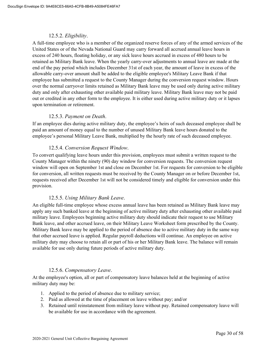#### 12.5.2. *Eligibility*.

A full-time employee who is a member of the organized reserve forces of any of the armed services of the United States or of the Nevada National Guard may carry forward all accrued annual leave hours in excess of 240 hours, floating holiday, or any sick leave hours accrued in excess of 480 hours to be retained as Military Bank leave. When the yearly carry-over adjustments to annual leave are made at the end of the pay period which includes December 31st of each year, the amount of leave in excess of the allowable carry-over amount shall be added to the eligible employee's Military Leave Bank if that employee has submitted a request to the County Manager during the conversion request window. Hours over the normal carryover limits retained as Military Bank leave may be used only during active military duty and only after exhausting other available paid military leave. Military Bank leave may not be paid out or credited in any other form to the employee. It is either used during active military duty or it lapses upon termination or retirement.

# 12.5.3. *Payment on Death*.

If an employee dies during active military duty, the employee's heirs of such deceased employee shall be paid an amount of money equal to the number of unused Military Bank leave hours donated to the employee's personal Military Leave Bank, multiplied by the hourly rate of such deceased employee.

#### 12.5.4. *Conversion Request Window*.

To convert qualifying leave hours under this provision, employees must submit a written request to the County Manager within the ninety (90) day window for conversion requests. The conversion request window will open on September 1st and close on December 1st. For requests for conversion to be eligible for conversion, all written requests must be received by the County Manager on or before December 1st, requests received after December 1st will not be considered timely and eligible for conversion under this provision.

#### 12.5.5. *Using Military Bank Leave*.

An eligible full-time employee whose excess annual leave has been retained as Military Bank leave may apply any such banked leave at the beginning of active military duty after exhausting other available paid military leave. Employees beginning active military duty should indicate their request to use Military Bank leave, and other accrued leave, on their Military Leave Worksheet form prescribed by the County. Military Bank leave may be applied to the period of absence due to active military duty in the same way that other accrued leave is applied. Regular payroll deductions will continue. An employee on active military duty may choose to retain all or part of his or her Military Bank leave. The balance will remain available for use only during future periods of active military duty.

#### 12.5.6. *Compensatory Leave*.

At the employee's option, all or part of compensatory leave balances held at the beginning of active military duty may be:

- 1. Applied to the period of absence due to military service;
- 2. Paid as allowed at the time of placement on leave without pay; and/or
- 3. Retained until reinstatement from military leave without pay. Retained compensatory leave will be available for use in accordance with the agreement.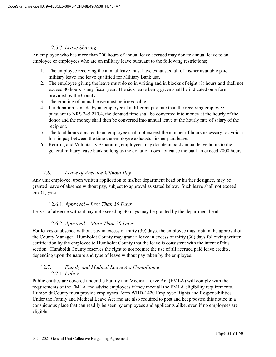# 12.5.7. *Leave Sharing*.

An employee who has more than 200 hours of annual leave accrued may donate annual leave to an employee or employees who are on military leave pursuant to the following restrictions;

- 1. The employee receiving the annual leave must have exhausted all of his/her available paid military leave and leave qualified for Military Bank use.
- 2. The employee giving the leave must do so in writing and in blocks of eight (8) hours and shall not exceed 80 hours is any fiscal year. The sick leave being given shall be indicated on a form provided by the County.
- 3. The granting of annual leave must be irrevocable.
- 4. If a donation is made by an employee at a different pay rate than the receiving employee, pursuant to NRS 245.210.4, the donated time shall be converted into money at the hourly of the donor and the money shall then be converted into annual leave at the hourly rate of salary of the recipient.
- 5. The total hours donated to an employee shall not exceed the number of hours necessary to avoid a loss in pay between the time the employee exhausts his/her paid leave.
- 6. Retiring and Voluntarily Separating employees may donate unpaid annual leave hours to the general military leave bank so long as the donation does not cause the bank to exceed 2000 hours.

# 12.6. *Leave of Absence Without Pay*

Any unit employee, upon written application to his/her department head or his/her designee, may be granted leave of absence without pay, subject to approval as stated below. Such leave shall not exceed one (1) year.

#### 12.6.1. *Approval – Less Than 30 Days*

Leaves of absence without pay not exceeding 30 days may be granted by the department head.

# 12.6.2. *Approval – More Than 30 Days*

*F*or leaves of absence without pay in excess of thirty (30) days, the employee must obtain the approval of the County Manager. Humboldt County may grant a leave in excess of thirty (30) days following written certification by the employee to Humboldt County that the leave is consistent with the intent of this section. Humboldt County reserves the right to not require the use of all accrued paid leave credits, depending upon the nature and type of leave without pay taken by the employee.

# 12.7. *Family and Medical Leave Act Compliance* 12.7.1. *Policy*

Public entities are covered under the Family and Medical Leave Act (FMLA) will comply with the requirements of the FMLA and advise employees if they meet all the FMLA eligibility requirements. Humboldt County must provide employees Form WHD-1420 Employee Rights and Responsibilities Under the Family and Medical Leave Act and are also required to post and keep posted this notice in a conspicuous place that can readily be seen by employees and applicants alike, even if no employees are eligible.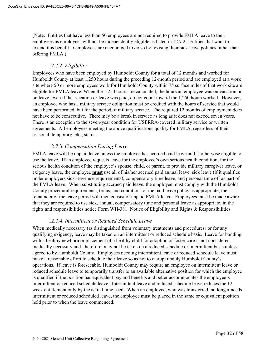(Note: Entities that have less than 50 employees are not required to provide FMLA leave to their employees as employees will not be independently eligible as listed in 12.7.2. Entities that want to extend this benefit to employees are encouraged to do so by revising their sick leave policies rather than offering FMLA.)

# 12.7.2. *Eligibility*

Employees who have been employed by Humboldt County for a total of 12 months and worked for Humboldt County at least 1,250 hours during the preceding 12-month period and are employed at a work site where 50 or more employees work for Humboldt County within 75 surface miles of that work site are eligible for FMLA leave. When the 1,250 hours are calculated, the hours an employee was on vacation or on leave, even if that vacation or leave was paid, do not count toward the 1,250 hours worked. However, an employee who has a military service obligation must be credited with the hours of service that would have been performed, but for the period of military service. The required 12 months of employment does not have to be consecutive. There may be a break in service as long as it does not exceed seven years. There is an exception to the seven-year condition for USERRA-covered military service or written agreements. All employees meeting the above qualifications qualify for FMLA, regardless of their seasonal, temporary, etc., status.

# 12.7.3. *Compensation During Leave*

FMLA leave will be unpaid leave unless the employee has accrued paid leave and is otherwise eligible to use the leave. If an employee requests leave for the employee's own serious health condition, for the serious health condition of the employee's spouse, child, or parent, to provide military caregiver leave, or exigency leave, the employee **must** use all of his/her accrued paid annual leave, sick leave (if it qualifies under employers sick leave use requirements), compensatory time leave, and personal time off as part of the FMLA leave. When substituting accrued paid leave, the employee must comply with the Humboldt County procedural requirements, terms, and conditions of the paid leave policy as appropriate; the remainder of the leave period will then consist of unpaid FMLA leave. Employees must be made aware that they are required to use sick, annual, compensatory time and personal leave as appropriate, in the rights and responsibilities notice Form WH-381: Notice of Eligibility and Rights & Responsibilities.

# 12.7.4. *Intermittent or Reduced Schedule Leave*

When medically necessary (as distinguished from voluntary treatments and procedures) or for any qualifying exigency, leave may be taken on an intermittent or reduced schedule basis. Leave for bonding with a healthy newborn or placement of a healthy child for adoption or foster care is not considered medically necessary and, therefore, may not be taken on a reduced schedule or intermittent basis unless agreed to by Humboldt County. Employees needing intermittent leave or reduced schedule leave must make a reasonable effort to schedule their leave so as not to disrupt unduly Humboldt County's operations. If leave is foreseeable, Humboldt County may require an employee on intermittent leave or reduced schedule leave to temporarily transfer to an available alternative position for which the employee is qualified if the position has equivalent pay and benefits and better accommodates the employee's intermittent or reduced schedule leave. Intermittent leave and reduced schedule leave reduces the 12 week entitlement only by the actual time used. When an employee, who was transferred, no longer needs intermittent or reduced scheduled leave, the employee must be placed in the same or equivalent position held prior to when the leave commenced.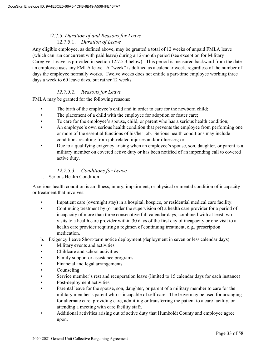# 12.7.5. *Duration of and Reasons for Leave* 12.7.5.1. *Duration of Leave*

Any eligible employee, as defined above, may be granted a total of 12 weeks of unpaid FMLA leave (which can run concurrent with paid leave) during a 12-month period (see exception for Military Caregiver Leave as provided in section 12.7.5.3 below). This period is measured backward from the date an employee uses any FMLA leave. A "week" is defined as a calendar week, regardless of the number of days the employee normally works. Twelve weeks does not entitle a part-time employee working three days a week to 60 leave days, but rather 12 weeks.

# *12.7.5.2. Reasons for Leave*

FMLA may be granted for the following reasons:

- The birth of the employee's child and in order to care for the newborn child;
- The placement of a child with the employee for adoption or foster care;
- To care for the employee's spouse, child, or parent who has a serious health condition;
- An employee's own serious health condition that prevents the employee from performing one or more of the essential functions of his/her job. Serious health conditions may include conditions resulting from job-related injuries and/or illnesses; or
- Due to a qualifying exigency arising when an employee's spouse, son, daughter, or parent is a military member on covered active duty or has been notified of an impending call to covered active duty.

# *12.7.5.3. Conditions for Leave*

a. Serious Health Condition

A serious health condition is an illness, injury, impairment, or physical or mental condition of incapacity or treatment that involves:

- Impatient care (overnight stay) in a hospital, hospice, or residential medical care facility.
- Continuing treatment by (or under the supervision of) a health care provider for a period of incapacity of more than three consecutive full calendar days, combined with at least two visits to a health care provider within 30 days of the first day of incapacity or one visit to a health care provider requiring a regimen of continuing treatment, e.g., prescription medication.
- b. Exigency Leave Short-term notice deployment (deployment in seven or less calendar days)
- Military events and activities
- Childcare and school activities
- Family support or assistance programs
- Financial and legal arrangements
- Counseling
- Service member's rest and recuperation leave (limited to 15 calendar days for each instance)
- Post-deployment activities
- Parental leave for the spouse, son, daughter, or parent of a military member to care for the military member's parent who is incapable of self-care. The leave may be used for arranging for alternate care, providing care, admitting or transferring the patient to a care facility, or attending a meeting with care facility staff.
- Additional activities arising out of active duty that Humboldt County and employee agree upon.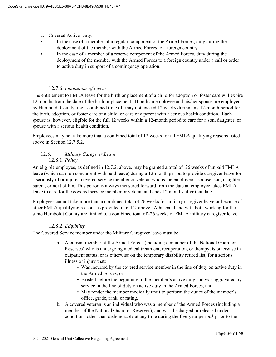- c. Covered Active Duty:
- In the case of a member of a regular component of the Armed Forces; duty during the deployment of the member with the Armed Forces to a foreign country.
- In the case of a member of a reserve component of the Armed Forces, duty during the deployment of the member with the Armed Forces to a foreign country under a call or order to active duty in support of a contingency operation.

#### 12.7.6. *Limitations of Leave*

The entitlement to FMLA leave for the birth or placement of a child for adoption or foster care will expire 12 months from the date of the birth or placement. If both an employee and his/her spouse are employed by Humboldt County, their combined time off may not exceed 12 weeks during any 12-month period for the birth, adoption, or foster care of a child, or care of a parent with a serious health condition. Each spouse is, however, eligible for the full 12 weeks within a 12-month period to care for a son, daughter, or spouse with a serious health condition.

Employees may not take more than a combined total of 12 weeks for all FMLA qualifying reasons listed above in Section 12.7.5.2.

# 12.8. *Military Caregiver Leave*  12.8.1. *Policy*

An eligible employee, as defined in 12.7.2. above, may be granted a total of 26 weeks of unpaid FMLA leave (which can run concurrent with paid leave) during a 12-month period to provide caregiver leave for a seriously ill or injured covered service member or veteran who is the employee's spouse, son, daughter, parent, or next of kin. This period is always measured forward from the date an employee takes FMLA leave to care for the covered service member or veteran and ends 12 months after that date.

Employees cannot take more than a combined total of 26 weeks for military caregiver leave or because of other FMLA qualifying reasons as provided in 6.4.2. above. A husband and wife both working for the same Humboldt County are limited to a combined total of -26 weeks of FMLA military caregiver leave.

# 12.8.2. *Eligibility*

The Covered Service member under the Military Caregiver leave must be:

- a. A current member of the Armed Forces (including a member of the National Guard or Reserves) who is undergoing medical treatment, recuperation, or therapy, is otherwise in outpatient status; or is otherwise on the temporary disability retired list, for a serious illness or injury that;
	- Was incurred by the covered service member in the line of duty on active duty in the Armed Forces, or
	- Existed before the beginning of the member's active duty and was aggravated by service in the line of duty on active duty in the Armed Forces, and
	- May render the member medically unfit to perform the duties of the member's office, grade, rank, or rating.
- b. A covered veteran is an individual who was a member of the Armed Forces (including a member of the National Guard or Reserves), and was discharged or released under conditions other than dishonorable at any time during the five-year period\* prior to the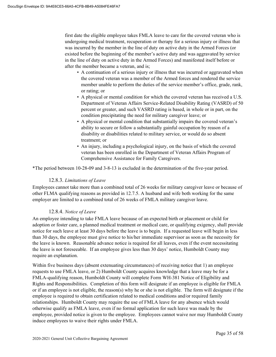first date the eligible employee takes FMLA leave to care for the covered veteran who is undergoing medical treatment, recuperation or therapy for a serious injury or illness that was incurred by the member in the line of duty on active duty in the Armed Forces (or existed before the beginning of the member's active duty and was aggravated by service in the line of duty on active duty in the Armed Forces) and manifested itself before or after the member became a veteran, and is;

- A continuation of a serious injury or illness that was incurred or aggravated when the covered veteran was a member of the Armed forces and rendered the service member unable to perform the duties of the service member's office, grade, rank, or rating; or
- A physical or mental condition for which the covered veteran has received a U.S. Department of Veteran Affairs Service-Related Disability Rating (VASRD) of 50 percent or greater, and such VASRD rating is based, in whole or in part, on the condition precipitating the need for military caregiver leave; or
- A physical or mental condition that substantially impairs the covered veteran's ability to secure or follow a substantially gainful occupation by reason of a disability or disabilities related to military service, or would do so absent treatment; or
- An injury, including a psychological injury, on the basis of which the covered veteran has been enrolled in the Department of Veteran Affairs Program of Comprehensive Assistance for Family Caregivers.

\*The period between 10-28-09 and 3-8-13 is excluded in the determination of the five-year period.

#### 12.8.3. *Limitations of Leave*

Employees cannot take more than a combined total of 26 weeks for military caregiver leave or because of other FLMA qualifying reasons as provided in 12.7.5. A husband and wife both working for the same employer are limited to a combined total of 26 weeks of FMLA military caregiver leave.

#### 12.8.4. *Notice of Leave*

An employee intending to take FMLA leave because of an expected birth or placement or child for adoption or foster care, a planned medical treatment or medical care, or qualifying exigency, shall provide notice for such leave at least 30 days before the leave is to begin. If a requested leave will begin in less than 30 days, the employee must give notice to his/her immediate supervisor as soon as the necessity for the leave is known. Reasonable advance notice is required for all leaves, even if the event necessitating the leave is not foreseeable. If an employee gives less than 30 days' notice, Humboldt County may require an explanation.

Within five business days (absent extenuating circumstances) of receiving notice that 1) an employee requests to use FMLA leave, or 2) Humboldt County acquires knowledge that a leave may be for a FMLA-qualifying reason, Humboldt County will complete Form WH-381 Notice of Eligibility and Rights and Responsibilities. Completion of this form will designate if an employee is eligible for FMLA or if an employee is not eligible, the reason(s) why he or she is not eligible. The form will designate if the employee is required to obtain certification related to medical conditions and/or required family relationships. Humboldt County may require the use of FMLA leave for any absence which would otherwise qualify as FMLA leave, even if no formal application for such leave was made by the employee, provided notice is given to the employee. Employees cannot waive nor may Humboldt County induce employees to waive their rights under FMLA.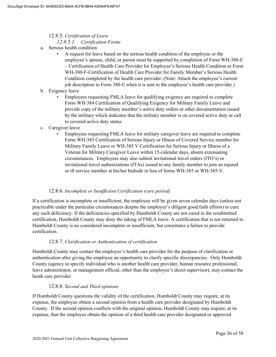# 12.8.5. *Certification of Leave*

#### *12.8.5.1. Certification Forms*

- a. Serious health condition
	- A request for leave based on the serious health condition of the employee or the employee's spouse, child, or parent must be supported by completion of Form WH-380-E – Certification of Health Care Provider for Employee's Serious Health Condition or Form WH-380-F-Certification of Health Care Provider for Family Member's Serious Health Condition completed by the health care provider. (Note: Attach the employee's current job description to Form 380-E when it is sent to the employee's health care provider.)
- b. Exigency leave
	- Employees requesting FMLA leave for qualifying exigency are required to complete Form WH-384 Certification of Qualifying Exigency for Military Family Leave and provide copy of the military member's active duty orders or other documentation issued by the military which indicates that the military member is on covered active duty or call to covered active duty status.
- c. Caregiver leave
	- Employees requesting FMLA leave for military caregiver leave are required to complete Form WH-385 Certification of Serious Injury or Illness of Covered Service member for Military Family Leave or WH-385 V Certification for Serious Injury or Illness of a Veteran for Military Caregiver Leave within 15-calendar days, absent extenuating circumstances. Employees may also submit invitational travel orders (ITO's) or invitational travel authorizations (ITAs) issued to any family member to join an injured or ill service member at his/her bedside in lieu of forms WH-385 or WH-385-V.

#### 12.8.6. *Incomplete or Insufficient Certification (cure period)*

If a certification is incomplete or insufficient, the employee will be given seven calendar days (unless not practicable under the particular circumstances despite the employee's diligent good faith efforts) to cure any such deficiency. If the deficiencies specified by Humboldt County are not cured in the resubmitted certification, Humboldt County may deny the taking of FMLA leave. A certification that is not returned to Humboldt County is no considered incomplete or insufficient, but constitutes a failure to provide certification.

# 12.8.7. *Clarification or Authentication of certification*

Humboldt County may contact the employee's health care provider for the purpose of clarification or authentication after giving the employee an opportunity to clarify specific discrepancies. Only Humboldt County (agency to specify individual who is another health care provider, human resource professional, leave administrator, or management official, other than the employee's direct supervisor), may contact the heath care provider.

#### 12.8.8. *Second and Third opinions*

If Humboldt County questions the validity of the certification, Humboldt County may require, at its expense, the employee obtain a second opinion from a health care provider designated by Humboldt County. If the second opinion conflicts with the original opinion, Humboldt County may require, at its expense, that the employee obtain the opinion of a third health care provider designated or approved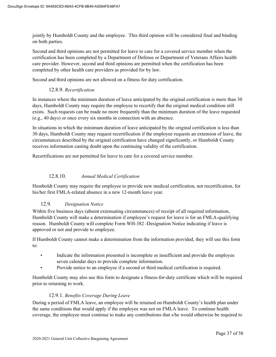jointly by Humboldt County and the employee. This third opinion will be considered final and binding on both parties.

Second and third opinions are not permitted for leave to care for a covered service member when the certification has been completed by a Department of Defense or Department of Veterans Affairs health care provider. However, second and third opinions are permitted when the certification has been completed by other health care providers as provided for by law.

Second and third opinions are not allowed on a fitness for duty certification.

# 12.8.9. *Recertification*

In instances where the minimum duration of leave anticipated by the original certification is more than 30 days, Humboldt County may require the employee to recertify that the original medical condition still exists. Such requests can be made no more frequently than the minimum duration of the leave requested (e.g., 40 days) or once every six months in connection with an absence.

In situations in which the minimum duration of leave anticipated by the original certification is less than 30 days, Humboldt County may request recertification if the employee requests an extension of leave, the circumstances described by the original certification have changed significantly, or Humboldt County receives information casting doubt upon the continuing validity of the certification.

Recertifications are not permitted for leave to care for a covered service member.

# 12.8.10. *Annual Medical Certification*

Humboldt County may require the employee to provide new medical certification, not recertification, for his/her first FMLA-related absence in a new 12-month leave year.

#### 12.9. *Designation Notice*

Within five business days (absent extenuating circumstances) of receipt of all required information, Humboldt County will make a determination if employee's request for leave is for an FMLA-qualifying reason. Humboldt County will complete Form WH-382 -Designation Notice indicating if leave is approved or not and provide to employee.

If Humboldt County cannot make a determination from the information provided, they will use this form to:

- Indicate the information presented is incomplete or insufficient and provide the employee seven calendar days to provide complete information.
- Provide notice to an employee if a second or third medical certification is required.

Humboldt County may also use this form to designate a fitness-for-duty certificate which will be required prior to returning to work.

#### 12.9.1. *Benefits Coverage During Leave*

During a period of FMLA leave, an employee will be retained on Humboldt County's health plan under the same conditions that would apply if the employee was not on FMLA leave. To continue health coverage, the employee must continue to make any contributions that s/he would otherwise be required to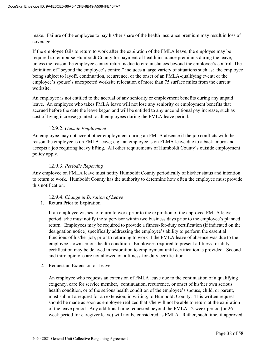make. Failure of the employee to pay his/her share of the health insurance premium may result in loss of coverage.

If the employee fails to return to work after the expiration of the FMLA leave, the employee may be required to reimburse Humboldt County for payment of health insurance premiums during the leave, unless the reason the employee cannot return is due to circumstances beyond the employee's control. The definition of "beyond the employee's control" includes a large variety of situations such as: the employee being subject to layoff, continuation, recurrence, or the onset of an FMLA-qualifying event; or the employee's spouse's unexpected worksite relocation of more than 75 surface miles from the current worksite.

An employee is not entitled to the accrual of any seniority or employment benefits during any unpaid leave. An employee who takes FMLA leave will not lose any seniority or employment benefits that accrued before the date the leave began and will be entitled to any unconditional pay increase, such as cost of living increase granted to all employees during the FMLA leave period.

#### 12.9.2. *Outside Employment*

An employee may not accept other employment during an FMLA absence if the job conflicts with the reason the employee is on FMLA leave; e.g., an employee is on FLMA leave due to a back injury and accepts a job requiring heavy lifting. All other requirements of Humboldt County's outside employment policy apply.

#### 12.9.3. *Periodic Reporting*

Any employee on FMLA leave must notify Humboldt County periodically of his/her status and intention to return to work. Humboldt County has the authority to determine how often the employee must provide this notification.

#### 12.9.4. *Change in Duration of Leave*

1. Return Prior to Expiration

If an employee wishes to return to work prior to the expiration of the approved FMLA leave period, s/he must notify the supervisor within two business days prior to the employee's planned return. Employees may be required to provide a fitness-for-duty certification (if indicated on the designation notice) specifically addressing the employee's ability to perform the essential functions of his/her job, prior to returning to work if the FMLA leave of absence was due to the employee's own serious health condition. Employees required to present a fitness-for-duty certification may be delayed in restoration to employment until certification is provided. Second and third opinions are not allowed on a fitness-for-duty certification.

2. Request an Extension of Leave

An employee who requests an extension of FMLA leave due to the continuation of a qualifying exigency, care for service member, continuation, recurrence, or onset of his/her own serious health condition, or of the serious health condition of the employee's spouse, child, or parent, must submit a request for an extension, in writing, to Humboldt County. This written request should be made as soon as employee realized that s/he will not be able to return at the expiration of the leave period. Any additional time requested beyond the FMLA 12-week period (or 26 week period for caregiver leave) will not be considered as FMLA. Rather, such time, if approved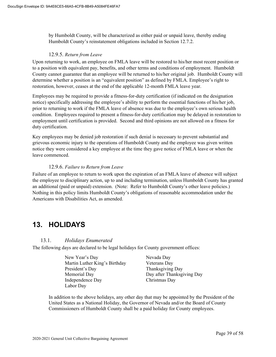by Humboldt County, will be characterized as either paid or unpaid leave, thereby ending Humboldt County's reinstatement obligations included in Section 12.7.2.

#### 12.9.5. *Return from Leave*

Upon returning to work, an employee on FMLA leave will be restored to his/her most recent position or to a position with equivalent pay, benefits, and other terms and conditions of employment. Humboldt County cannot guarantee that an employee will be returned to his/her original job. Humboldt County will determine whether a position is an "equivalent position" as defined by FMLA. Employee's right to restoration, however, ceases at the end of the applicable 12-month FMLA leave year.

Employees may be required to provide a fitness-for-duty certification (if indicated on the designation notice) specifically addressing the employee's ability to perform the essential functions of his/her job, prior to returning to work if the FMLA leave of absence was due to the employee's own serious health condition. Employees required to present a fitness-for-duty certification may be delayed in restoration to employment until certification is provided. Second and third opinions are not allowed on a fitness for duty certification.

Key employees may be denied job restoration if such denial is necessary to prevent substantial and grievous economic injury to the operations of Humboldt County and the employee was given written notice they were considered a key employee at the time they gave notice of FMLA leave or when the leave commenced.

# 12.9.6. *Failure to Return from Leave*

Failure of an employee to return to work upon the expiration of an FMLA leave of absence will subject the employee to disciplinary action, up to and including termination, unless Humboldt County has granted an additional (paid or unpaid) extension. (Note: Refer to Humboldt County's other leave policies.) Nothing in this policy limits Humboldt County's obligations of reasonable accommodation under the Americans with Disabilities Act, as amended.

# **13. HOLIDAYS**

#### 13.1. *Holidays Enumerated*

The following days are declared to be legal holidays for County government offices:

New Year's Day Nevada Day Martin Luther King's Birthday Veterans Day President's Day Thanksgiving Day Memorial Day **Day after Thanksgiving Day** Independence Day Christmas Day Labor Day

In addition to the above holidays, any other day that may be appointed by the President of the United States as a National Holiday, the Governor of Nevada and/or the Board of County Commissioners of Humboldt County shall be a paid holiday for County employees.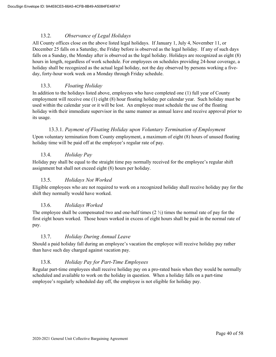# 13.2. *Observance of Legal Holidays*

All County offices close on the above listed legal holidays. If January 1, July 4, November 11, or December 25 falls on a Saturday, the Friday before is observed as the legal holiday. If any of such days falls on a Sunday, the Monday after is observed as the legal holiday. Holidays are recognized as eight (8) hours in length, regardless of work schedule. For employees on schedules providing 24-hour coverage, a holiday shall be recognized as the actual legal holiday, not the day observed by persons working a fiveday, forty-hour work week on a Monday through Friday schedule.

# 13.3. *Floating Holiday*

In addition to the holidays listed above, employees who have completed one (1) full year of County employment will receive one (1) eight (8) hour floating holiday per calendar year. Such holiday must be used within the calendar year or it will be lost. An employee must schedule the use of the floating holiday with their immediate supervisor in the same manner as annual leave and receive approval prior to its usage.

# 13.3.1. *Payment of Floating Holiday upon Voluntary Termination of Employment*

Upon voluntary termination from County employment, a maximum of eight (8) hours of unused floating holiday time will be paid off at the employee's regular rate of pay.

# 13.4. *Holiday Pay*

Holiday pay shall be equal to the straight time pay normally received for the employee's regular shift assignment but shall not exceed eight (8) hours per holiday.

# 13.5. *Holidays Not Worked*

Eligible employees who are not required to work on a recognized holiday shall receive holiday pay for the shift they normally would have worked.

# 13.6. *Holidays Worked*

The employee shall be compensated two and one-half times  $(2 \frac{1}{2})$  times the normal rate of pay for the first eight hours worked. Those hours worked in excess of eight hours shall be paid in the normal rate of pay.

# 13.7. *Holiday During Annual Leave*

Should a paid holiday fall during an employee's vacation the employee will receive holiday pay rather than have such day charged against vacation pay.

# 13.8. *Holiday Pay for Part-Time Employees*

Regular part-time employees shall receive holiday pay on a pro-rated basis when they would be normally scheduled and available to work on the holiday in question. When a holiday falls on a part-time employee's regularly scheduled day off, the employee is not eligible for holiday pay.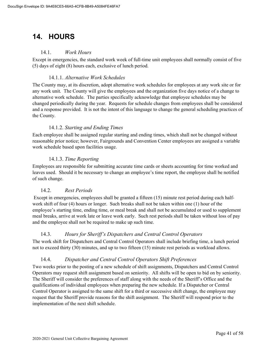# **14. HOURS**

#### 14.1. *Work Hours*

Except in emergencies, the standard work week of full-time unit employees shall normally consist of five (5) days of eight (8) hours each, exclusive of lunch period.

### 14.1.1. *Alternative Work Schedules*

The County may, at its discretion, adopt alternative work schedules for employees at any work site or for any work unit. The County will give the employees and the organization five days notice of a change to alternative work schedule. The parties specifically acknowledge that employee schedules may be changed periodically during the year. Requests for schedule changes from employees shall be considered and a response provided. It is not the intent of this language to change the general scheduling practices of the County.

#### 14.1.2. *Starting and Ending Times*

Each employee shall be assigned regular starting and ending times, which shall not be changed without reasonable prior notice; however, Fairgrounds and Convention Center employees are assigned a variable work schedule based upon facilities usage.

#### 14.1.3. *Time Reporting*

Employees are responsible for submitting accurate time cards or sheets accounting for time worked and leaves used. Should it be necessary to change an employee's time report, the employee shall be notified of such change.

# 14.2. *Rest Periods*

Except in emergencies, employees shall be granted a fifteen (15) minute rest period during each halfwork shift of four (4) hours or longer. Such breaks shall not be taken within one (1) hour of the employee's starting time, ending time, or meal break and shall not be accumulated or used to supplement meal breaks, arrive at work late or leave work early. Such rest periods shall be taken without loss of pay and the employee shall not be required to make up such time.

# 14.3. *Hours for Sheriff's Dispatchers and Central Control Operators*

The work shift for Dispatchers and Central Control Operators shall include briefing time, a lunch period not to exceed thirty (30) minutes, and up to two fifteen (15) minute rest periods as workload allows.

# 14.4. *Dispatcher and Central Control Operators Shift Preferences*

Two weeks prior to the posting of a new schedule of shift assignments, Dispatchers and Central Control Operators may request shift assignment based on seniority. All shifts will be open to bid on by seniority. The Sheriff will consider the preferences of staff along with the needs of the Sheriff's Office and the qualifications of individual employees when preparing the new schedule. If a Dispatcher or Central Control Operator is assigned to the same shift for a third or successive shift change, the employee may request that the Sheriff provide reasons for the shift assignment. The Sheriff will respond prior to the implementation of the next shift schedule.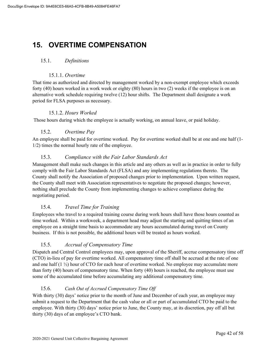# **15. OVERTIME COMPENSATION**

# 15.1. *Definitions*

# 15.1.1. *Overtime*

That time as authorized and directed by management worked by a non-exempt employee which exceeds forty (40) hours worked in a work week or eighty (80) hours in two (2) weeks if the employee is on an alternative work schedule requiring twelve (12) hour shifts. The Department shall designate a work period for FLSA purposes as necessary.

# 15.1.2. *Hours Worked*

Those hours during which the employee is actually working, on annual leave, or paid holiday.

# 15.2. *Overtime Pay*

An employee shall be paid for overtime worked. Pay for overtime worked shall be at one and one half (1- 1/2) times the normal hourly rate of the employee.

# 15.3. *Compliance with the Fair Labor Standards Act*

Management shall make such changes in this article and any others as well as in practice in order to fully comply with the Fair Labor Standards Act (FLSA) and any implementing regulations thereto. The County shall notify the Association of proposed changes prior to implementation. Upon written request, the County shall meet with Association representatives to negotiate the proposed changes; however, nothing shall preclude the County from implementing changes to achieve compliance during the negotiating period.

# 15.4. *Travel Time for Training*

Employees who travel to a required training course during work hours shall have those hours counted as time worked. Within a workweek, a department head may adjust the starting and quitting times of an employee on a straight time basis to accommodate any hours accumulated during travel on County business. If this is not possible, the additional hours will be treated as hours worked.

# 15.5. *Accrual of Compensatory Time*

Dispatch and Central Control employees may, upon approval of the Sheriff, accrue compensatory time off (CTO) in-lieu of pay for overtime worked. All compensatory time off shall be accrued at the rate of one and one half  $(1 \frac{1}{2})$  hour of CTO for each hour of overtime worked. No employee may accumulate more than forty (40) hours of compensatory time. When forty (40) hours is reached, the employee must use some of the accumulated time before accumulating any additional compensatory time.

# 15.6. *Cash Out of Accrued Compensatory Time Off*

With thirty (30) days' notice prior to the month of June and December of each year, an employee may submit a request to the Department that the cash value or all or part of accumulated CTO be paid to the employee. With thirty (30) days' notice prior to June, the County may, at its discretion, pay off all but thirty (30) days of an employee's CTO bank.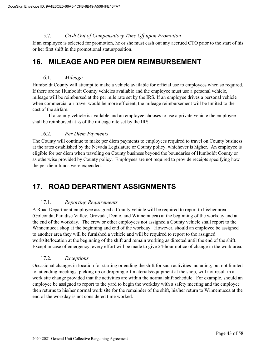# 15.7. *Cash Out of Compensatory Time Off upon Promotion*

If an employee is selected for promotion, he or she must cash out any accrued CTO prior to the start of his or her first shift in the promotional status/position.

# **16. MILEAGE AND PER DIEM REIMBURSEMENT**

# 16.1. *Mileage*

Humboldt County will attempt to make a vehicle available for official use to employees when so required. If there are no Humboldt County vehicles available and the employee must use a personal vehicle, mileage will be reimbursed at the per mile rate set by the IRS. If an employee drives a personal vehicle when commercial air travel would be more efficient, the mileage reimbursement will be limited to the cost of the airfare.

 If a county vehicle is available and an employee chooses to use a private vehicle the employee shall be reimbursed at ½ of the mileage rate set by the IRS.

# 16.2. *Per Diem Payments*

The County will continue to make per diem payments to employees required to travel on County business at the rates established by the Nevada Legislature or County policy, whichever is higher. An employee is eligible for per diem when traveling on County business beyond the boundaries of Humboldt County or as otherwise provided by County policy. Employees are not required to provide receipts specifying how the per diem funds were expended.

# **17. ROAD DEPARTMENT ASSIGNMENTS**

# 17.1. *Reporting Requirements*

A Road Department employee assigned a County vehicle will be required to report to his/her area (Golconda, Paradise Valley, Orovada, Denio, and Winnemucca) at the beginning of the workday and at the end of the workday. The crew or other employees not assigned a County vehicle shall report to the Winnemucca shop at the beginning and end of the workday. However, should an employee be assigned to another area they will be furnished a vehicle and will be required to report to the assigned worksite/location at the beginning of the shift and remain working as directed until the end of the shift. Except in case of emergency, every effort will be made to give 24-hour notice of change in the work area.

# 17.2. *Exceptions*

Occasional changes in location for starting or ending the shift for such activities including, but not limited to, attending meetings, picking up or dropping off materials/equipment at the shop, will not result in a work site change provided that the activities are within the normal shift schedule. For example, should an employee be assigned to report to the yard to begin the workday with a safety meeting and the employee then returns to his/her normal work site for the remainder of the shift, his/her return to Winnemucca at the end of the workday is not considered time worked.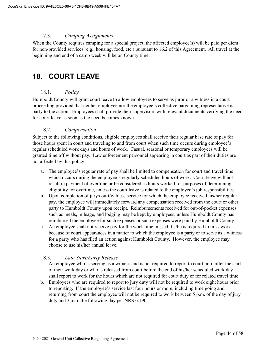#### 17.3. *Camping Assignments*

When the County requires camping for a special project, the affected employee(s) will be paid per diem for non-provided services (e.g., housing, food, etc.) pursuant to 16.2 of this Agreement. All travel at the beginning and end of a camp week will be on County time.

# **18. COURT LEAVE**

# 18.1. *Policy*

Humboldt County will grant court leave to allow employees to serve as juror or a witness in a court proceeding provided that neither employee nor the employee's collective bargaining representative is a party to the action. Employees shall provide their supervisors with relevant documents verifying the need for court leave as soon as the need becomes known.

#### 18.2. *Compensation*

Subject to the following conditions, eligible employees shall receive their regular base rate of pay for those hours spent in court and traveling to and from court when such time occurs during employee's regular scheduled work days and hours of work. Casual, seasonal or temporary employees will be granted time off without pay. Law enforcement personnel appearing in court as part of their duties are not affected by this policy.

- a. The employee's regular rate of pay shall be limited to compensation for court and travel time which occurs during the employee's regularly scheduled hours of work. Court leave will not result in payment of overtime or be considered as hours worked for purposes of determining eligibility for overtime, unless the court leave is related to the employee's job responsibilities.
- b. Upon completion of jury/court/witness service for which the employee received his/her regular pay, the employee will immediately forward any compensation received from the court or other party to Humboldt County upon receipt. Reimbursements received for out-of-pocket expenses such as meals, mileage, and lodging may be kept by employees, unless Humboldt County has reimbursed the employee for such expenses or such expenses were paid by Humboldt County.
- c. An employee shall not receive pay for the work time missed if s/he is required to miss work because of court appearances in a matter to which the employee is a party or to serve as a witness for a party who has filed an action against Humboldt County. However, the employee may choose to use his/her annual leave.

# 18.3. *Late Start/Early Release*

- a. An employee who is serving as a witness and is not required to report to court until after the start of their work day or who is released from court before the end of his/her scheduled work day shall report to work for the hours which are not required for court duty or for related travel time.
- b. Employees who are required to report to jury duty will not be required to work eight hours prior to reporting. If the employee's service last four hours or more, including time going and returning from court the employee will not be required to work between 5 p.m. of the day of jury duty and 3 a.m. the following day per NRS 6.190.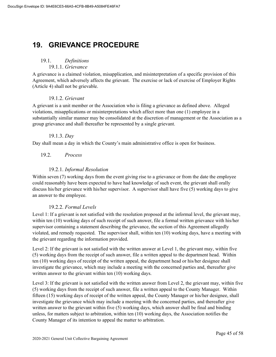# **19. GRIEVANCE PROCEDURE**

# 19.1. *Definitions*

19.1.1. *Grievance* 

A grievance is a claimed violation, misapplication, and misinterpretation of a specific provision of this Agreement, which adversely affects the grievant. The exercise or lack of exercise of Employer Rights (Article 4) shall not be grievable.

# 19.1.2. *Grievant*

A grievant is a unit member or the Association who is filing a grievance as defined above. Alleged violations, misapplications or misinterpretations which affect more than one (1) employee in a substantially similar manner may be consolidated at the discretion of management or the Association as a group grievance and shall thereafter be represented by a single grievant.

# 19.1.3. *Day*

Day shall mean a day in which the County's main administrative office is open for business.

# 19.2. *Process*

# 19.2.1. *Informal Resolution*

Within seven (7) working days from the event giving rise to a grievance or from the date the employee could reasonably have been expected to have had knowledge of such event, the grievant shall orally discuss his/her grievance with his/her supervisor. A supervisor shall have five (5) working days to give an answer to the employee.

# 19.2.2. *Formal Levels*

Level 1: If a grievant is not satisfied with the resolution proposed at the informal level, the grievant may, within ten (10) working days of such receipt of such answer, file a formal written grievance with his/her supervisor containing a statement describing the grievance, the section of this Agreement allegedly violated, and remedy requested. The supervisor shall, within ten (10) working days, have a meeting with the grievant regarding the information provided.

Level 2: If the grievant is not satisfied with the written answer at Level 1, the grievant may, within five (5) working days from the receipt of such answer, file a written appeal to the department head. Within ten (10) working days of receipt of the written appeal, the department head or his/her designee shall investigate the grievance, which may include a meeting with the concerned parties and, thereafter give written answer to the grievant within ten  $(10)$  working days.

Level 3: If the grievant is not satisfied with the written answer from Level 2, the grievant may, within five (5) working days from the receipt of such answer, file a written appeal to the County Manager. Within fifteen (15) working days of receipt of the written appeal, the County Manager or his/her designee, shall investigate the grievance which may include a meeting with the concerned parties, and thereafter give written answer to the grievant within five (5) working days, which answer shall be final and binding unless, for matters subject to arbitration, within ten (10) working days, the Association notifies the County Manager of its intention to appeal the matter to arbitration.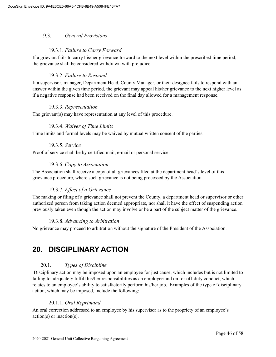# 19.3. *General Provisions*

#### 19.3.1. *Failure to Carry Forward*

If a grievant fails to carry his/her grievance forward to the next level within the prescribed time period, the grievance shall be considered withdrawn with prejudice.

#### 19.3.2. *Failure to Respond*

If a supervisor, manager, Department Head, County Manager, or their designee fails to respond with an answer within the given time period, the grievant may appeal his/her grievance to the next higher level as if a negative response had been received on the final day allowed for a management response.

#### 19.3.3. *Representation*

The grievant(s) may have representation at any level of this procedure.

#### 19.3.4. *Waiver of Time Limits*

Time limits and formal levels may be waived by mutual written consent of the parties.

#### 19.3.5. *Service*

Proof of service shall be by certified mail, e-mail or personal service.

#### 19.3.6. *Copy to Association*

The Association shall receive a copy of all grievances filed at the department head's level of this grievance procedure, where such grievance is not being processed by the Association.

#### 19.3.7. *Effect of a Grievance*

The making or filing of a grievance shall not prevent the County, a department head or supervisor or other authorized person from taking action deemed appropriate, nor shall it have the effect of suspending action previously taken even though the action may involve or be a part of the subject matter of the grievance.

#### 19.3.8. *Advancing to Arbitration*

No grievance may proceed to arbitration without the signature of the President of the Association.

# **20. DISCIPLINARY ACTION**

# 20.1. *Types of Discipline*

Disciplinary action may be imposed upon an employee for just cause, which includes but is not limited to failing to adequately fulfill his/her responsibilities as an employee and on- or off-duty conduct, which relates to an employee's ability to satisfactorily perform his/her job. Examples of the type of disciplinary action, which may be imposed, include the following:

#### 20.1.1. *Oral Reprimand*

An oral correction addressed to an employee by his supervisor as to the propriety of an employee's action(s) or inaction(s).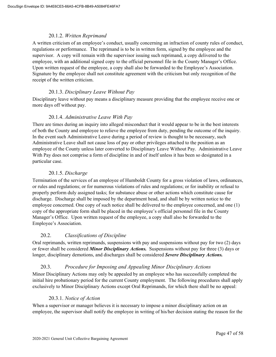#### 20.1.2. *Written Reprimand*

A written criticism of an employee's conduct, usually concerning an infraction of county rules of conduct, regulations or performance. The reprimand is to be in written form, signed by the employee and the supervisor. A copy will remain with the supervisor issuing such reprimand, a copy delivered to the employee, with an additional signed copy to the official personnel file in the County Manager's Office. Upon written request of the employee, a copy shall also be forwarded to the Employee's Association. Signature by the employee shall not constitute agreement with the criticism but only recognition of the receipt of the written criticism.

# 20.1.3. *Disciplinary Leave Without Pay*

Disciplinary leave without pay means a disciplinary measure providing that the employee receive one or more days off without pay.

# 20.1.4. *Administrative Leave With Pay*

There are times during an inquiry into alleged misconduct that it would appear to be in the best interests of both the County and employee to relieve the employee from duty, pending the outcome of the inquiry. In the event such Administrative Leave during a period of review is thought to be necessary, such Administrative Leave shall not cause loss of pay or other privileges attached to the position as an employee of the County unless later converted to Disciplinary Leave Without Pay. Administrative Leave With Pay does not comprise a form of discipline in and of itself unless it has been so designated in a particular case.

# 20.1.5. *Discharge*

Termination of the services of an employee of Humboldt County for a gross violation of laws, ordinances, or rules and regulations; or for numerous violations of rules and regulations; or for inability or refusal to properly perform duly assigned tasks; for substance abuse or other actions which constitute cause for discharge. Discharge shall be imposed by the department head, and shall be by written notice to the employee concerned. One copy of such notice shall be delivered to the employee concerned, and one (1) copy of the appropriate form shall be placed in the employee's official personnel file in the County Manager's Office. Upon written request of the employee, a copy shall also be forwarded to the Employee's Association.

# 20.2. *Classifications of Discipline*

Oral reprimands, written reprimands, suspensions with pay and suspensions without pay for two (2) days or fewer shall be considered *Minor Disciplinary Actions.* Suspensions without pay for three (3) days or longer, disciplinary demotions, and discharges shall be considered *Severe Disciplinary Actions.*

# 20.3. *Procedure for Imposing and Appealing Minor Disciplinary Actions*

Minor Disciplinary Actions may only be appealed by an employee who has successfully completed the initial hire probationary period for the current County employment. The following procedures shall apply exclusively to Minor Disciplinary Actions except Oral Reprimands, for which there shall be no appeal:

# 20.3.1. *Notice of Action*

When a supervisor or manager believes it is necessary to impose a minor disciplinary action on an employee, the supervisor shall notify the employee in writing of his/her decision stating the reason for the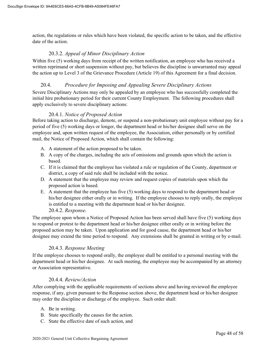action, the regulations or rules which have been violated, the specific action to be taken, and the effective date of the action.

# 20.3.2. *Appeal of Minor Disciplinary Action*

Within five (5) working days from receipt of the written notification, an employee who has received a written reprimand or short suspension without pay, but believes the discipline is unwarranted may appeal the action up to Level 3 of the Grievance Procedure (Article 19) of this Agreement for a final decision.

# 20.4. *Procedure for Imposing and Appealing Severe Disciplinary Actions*

Severe Disciplinary Actions may only be appealed by an employee who has successfully completed the initial hire probationary period for their current County Employment. The following procedures shall apply exclusively to severe disciplinary actions:

# 20.4.1. *Notice of Proposed Action*

Before taking action to discharge, demote, or suspend a non-probationary unit employee without pay for a period of five (5) working days or longer, the department head or his/her designee shall serve on the employee and, upon written request of the employee, the Association, either personally or by certified mail, the Notice of Proposed Action, which shall contain the following:

- A. A statement of the action proposed to be taken.
- B. A copy of the charges, including the acts of omissions and grounds upon which the action is based.
- C. If it is claimed that the employee has violated a rule or regulation of the County, department or district, a copy of said rule shall be included with the notice.
- D. A statement that the employee may review and request copies of materials upon which the proposed action is based.
- E. A statement that the employee has five (5) working days to respond to the department head or his/her designee either orally or in writing. If the employee chooses to reply orally, the employee is entitled to a meeting with the department head or his/her designee.

#### 20.4.2. *Response.*

The employee upon whom a Notice of Proposed Action has been served shall have five (5) working days to respond or protest to the department head or his/her designee either orally or in writing before the proposed action may be taken. Upon application and for good cause, the department head or his/her designee may extend the time period to respond. Any extensions shall be granted in writing or by e-mail.

# 20.4.3. *Response Meeting*

If the employee chooses to respond orally, the employee shall be entitled to a personal meeting with the department head or his/her designee. At such meeting, the employee may be accompanied by an attorney or Association representative.

#### 20.4.4. *Review/Action*

After complying with the applicable requirements of sections above and having reviewed the employee response, if any, given pursuant to the Response section above, the department head or his/her designee may order the discipline or discharge of the employee. Such order shall:

- A. Be in writing.
- B. State specifically the causes for the action.
- C. State the effective date of such action, and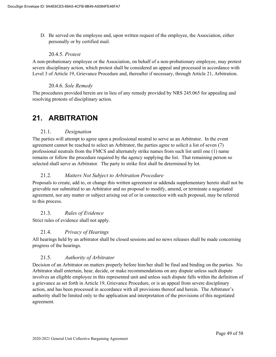D. Be served on the employee and, upon written request of the employee, the Association, either personally or by certified mail.

### 20.4.5. *Protest*

A non-probationary employee or the Association, on behalf of a non-probationary employee, may protest severe disciplinary action, which protest shall be considered an appeal and processed in accordance with Level 3 of Article 19, Grievance Procedure and, thereafter if necessary, through Article 21, Arbitration.

#### 20.4.6. *Sole Remedy*

The procedures provided herein are in lieu of any remedy provided by NRS 245.065 for appealing and resolving protests of disciplinary action.

# **21. ARBITRATION**

# 21.1. *Designation*

The parties will attempt to agree upon a professional neutral to serve as an Arbitrator. In the event agreement cannot be reached to select an Arbitrator, the parties agree to solicit a list of seven (7) professional neutrals from the FMCS and alternately strike names from such list until one (1) name remains or follow the procedure required by the agency supplying the list. That remaining person so selected shall serve as Arbitrator. The party to strike first shall be determined by lot.

# 21.2. *Matters Not Subject to Arbitration Procedure*

Proposals to create, add to, or change this written agreement or addenda supplementary hereto shall not be grievable nor submitted to an Arbitrator and no proposal to modify, amend, or terminate a negotiated agreement, nor any matter or subject arising out of or in connection with such proposal, may be referred to this process.

21.3. *Rules of Evidence*

Strict rules of evidence shall not apply.

# 21.4. *Privacy of Hearings*

All hearings held by an arbitrator shall be closed sessions and no news releases shall be made concerning progress of the hearings.

# 21.5. *Authority of Arbitrator*

Decision of an Arbitrator on matters properly before him/her shall be final and binding on the parties. No Arbitrator shall entertain, hear, decide, or make recommendations on any dispute unless such dispute involves an eligible employee in this represented unit and unless such dispute falls within the definition of a grievance as set forth in Article 19, Grievance Procedure, or is an appeal from severe disciplinary action, and has been processed in accordance with all provisions thereof and herein. The Arbitrator's authority shall be limited only to the application and interpretation of the provisions of this negotiated agreement.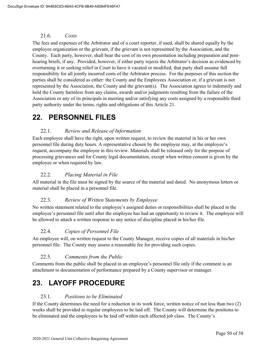# 21.6. *Costs*

The fees and expenses of the Arbitrator and of a court reporter, if used, shall be shared equally by the employee organization or the grievant, if the grievant is not represented by the Association, and the County. Each party, however, shall bear the cost of its own presentation including preparation and posthearing briefs, if any. Provided, however, if either party rejects the Arbitrator's decision as evidenced by overturning it or seeking relief in Court to have it vacated or modified, that party shall assume full responsibility for all jointly incurred costs of the Arbitrator process. For the purposes of this section the parties shall be considered as either: the County and the Employees Association or, if a grievant is not represented by the Association, the County and the grievant(s). The Association agrees to indemnify and hold the County harmless from any claims, awards and/or judgments resulting from the failure of the Association or any of its principals in meeting and/or satisfying any costs assigned by a responsible third party authority under the terms, rights and obligations of this Article 21.

# **22. PERSONNEL FILES**

# 22.1. *Review and Release of Information*

Each employee shall have the right, upon written request, to review the material in his or her own personnel file during duty hours. A representative chosen by the employee may, at the employee's request, accompany the employee in this review. Materials shall be released only for the purpose of processing grievances and for County legal documentation, except when written consent is given by the employee or when required by law.

# 22.2. *Placing Material in File*

All material in the file must be signed by the source of the material and dated. No anonymous letters or material shall be placed in a personnel file.

# 22.3. *Review of Written Statements by Employee*

No written statement related to the employee's assigned duties or responsibilities shall be placed in the employee's personnel file until after the employee has had an opportunity to review it. The employee will be allowed to attach a written response to any notice of discipline placed in his/her file.

# 22.4. *Copies of Personnel File*

An employee will, on written request to the County Manager, receive copies of all materials in his/her personnel file. The County may assess a reasonable fee for providing such copies.

# 22.5. *Comments from the Public*

Comments from the public shall be placed in an employee's personnel file only if the comment is an attachment to documentation of performance prepared by a County supervisor or manager.

# **23. LAYOFF PROCEDURE**

#### 23.1. *Positions to be Eliminated*

If the County determines the need for a reduction in its work force, written notice of not less than two (2) weeks shall be provided to regular employees to be laid off. The County will determine the positions to be eliminated and the employees to be laid off within each affected job class. The County's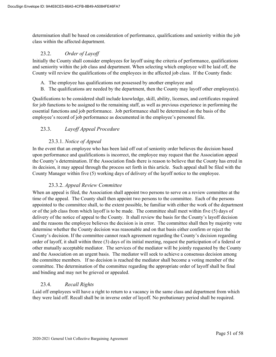determination shall be based on consideration of performance, qualifications and seniority within the job class within the affected department.

# 23.2. *Order of Layoff*

Initially the County shall consider employees for layoff using the criteria of performance, qualifications and seniority within the job class and department. When selecting which employee will be laid off, the County will review the qualifications of the employees in the affected job class. If the County finds:

- A. The employee has qualifications not possessed by another employee and
- B. The qualifications are needed by the department, then the County may layoff other employee(s).

Qualifications to be considered shall include knowledge, skill, ability, licenses, and certificates required for job functions to be assigned to the remaining staff, as well as previous experience in performing the essential functions and job performance. Job performance shall be determined on the basis of the employee's record of job performance as documented in the employee's personnel file.

# 23.3. *Layoff Appeal Procedure*

# 23.3.1. *Notice of Appeal*

In the event that an employee who has been laid off out of seniority order believes the decision based upon performance and qualifications is incorrect, the employee may request that the Association appeal the County's determination. If the Association finds there is reason to believe that the County has erred in its decision, it may appeal through the process set forth in this article. Such appeal shall be filed with the County Manager within five (5) working days of delivery of the layoff notice to the employee.

# 23.3.2. *Appeal Review Committee*

When an appeal is filed, the Association shall appoint two persons to serve on a review committee at the time of the appeal. The County shall then appoint two persons to the committee. Each of the persons appointed to the committee shall, to the extent possible, be familiar with either the work of the department or of the job class from which layoff is to be made. The committee shall meet within five (5) days of delivery of the notice of appeal to the County. It shall review the basis for the County's layoff decision and the reasons the employee believes the decision is in error. The committee shall then by majority vote determine whether the County decision was reasonable and on that basis either confirm or reject the County's decision. If the committee cannot reach agreement regarding the County's decision regarding order of layoff, it shall within three (3) days of its initial meeting, request the participation of a federal or other mutually acceptable mediator. The services of the mediator will be jointly requested by the County and the Association on an urgent basis. The mediator will seek to achieve a consensus decision among the committee members. If no decision is reached the mediator shall become a voting member of the committee. The determination of the committee regarding the appropriate order of layoff shall be final and binding and may not be grieved or appealed.

# 23.4. *Recall Rights*

Laid off employees will have a right to return to a vacancy in the same class and department from which they were laid off. Recall shall be in inverse order of layoff. No probationary period shall be required.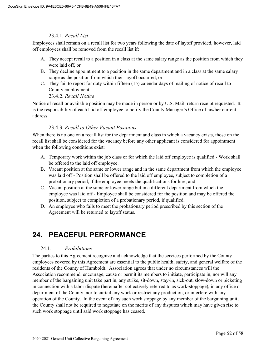### 23.4.1. *Recall List*

Employees shall remain on a recall list for two years following the date of layoff provided, however, laid off employees shall be removed from the recall list if:

- A. They accept recall to a position in a class at the same salary range as the position from which they were laid off, or
- B. They decline appointment to a position in the same department and in a class at the same salary range as the position from which their layoff occurred, or
- C. They fail to report for duty within fifteen (15) calendar days of mailing of notice of recall to County employment.

#### 23.4.2. *Recall Notice*

Notice of recall or available position may be made in person or by U.S. Mail, return receipt requested. It is the responsibility of each laid off employee to notify the County Manager's Office of his/her current address.

# 23.4.3. *Recall to Other Vacant Positions*

When there is no one on a recall list for the department and class in which a vacancy exists, those on the recall list shall be considered for the vacancy before any other applicant is considered for appointment when the following conditions exist:

- A. Temporary work within the job class or for which the laid off employee is qualified Work shall be offered to the laid off employee.
- B. Vacant position at the same or lower range and in the same department from which the employee was laid off - Position shall be offered to the laid off employee, subject to completion of a probationary period, if the employee meets the qualifications for hire; and
- C. Vacant position at the same or lower range but in a different department from which the employee was laid off - Employee shall be considered for the position and may be offered the position, subject to completion of a probationary period, if qualified.
- D. An employee who fails to meet the probationary period prescribed by this section of the Agreement will be returned to layoff status.

# **24. PEACEFUL PERFORMANCE**

# 24.1. *Prohibitions*

The parties to this Agreement recognize and acknowledge that the services performed by the County employees covered by this Agreement are essential to the public health, safety, and general welfare of the residents of the County of Humboldt. Association agrees that under no circumstances will the Association recommend, encourage, cause or permit its members to initiate, participate in, nor will any member of the bargaining unit take part in, any strike, sit-down, stay-in, sick-out, slow-down or picketing in connection with a labor dispute (hereinafter collectively referred to as work-stoppage), in any office or department of the County, nor to curtail any work or restrict any production, or interfere with any operation of the County. In the event of any such work stoppage by any member of the bargaining unit, the County shall not be required to negotiate on the merits of any disputes which may have given rise to such work stoppage until said work stoppage has ceased.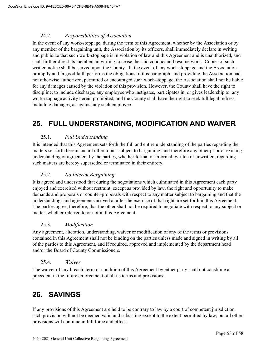### 24.2. *Responsibilities of Association*

In the event of any work-stoppage, during the term of this Agreement, whether by the Association or by any member of the bargaining unit, the Association by its officers, shall immediately declare in writing and publicize that such work-stoppage is in violation of law and this Agreement and is unauthorized, and shall further direct its members in writing to cease the said conduct and resume work. Copies of such written notice shall be served upon the County. In the event of any work-stoppage and the Association promptly and in good faith performs the obligations of this paragraph, and providing the Association had not otherwise authorized, permitted or encouraged such work-stoppage, the Association shall not be liable for any damages caused by the violation of this provision. However, the County shall have the right to discipline, to include discharge, any employee who instigates, participates in, or gives leadership to, any work-stoppage activity herein prohibited, and the County shall have the right to seek full legal redress, including damages, as against any such employee.

# **25. FULL UNDERSTANDING, MODIFICATION AND WAIVER**

# 25.1. *Full Understanding*

It is intended that this Agreement sets forth the full and entire understanding of the parties regarding the matters set forth herein and all other topics subject to bargaining, and therefore any other prior or existing understanding or agreement by the parties, whether formal or informal, written or unwritten, regarding such matters are hereby superseded or terminated in their entirety.

#### 25.2. *No Interim Bargaining*

It is agreed and understood that during the negotiations which culminated in this Agreement each party enjoyed and exercised without restraint, except as provided by law, the right and opportunity to make demands and proposals or counter-proposals with respect to any matter subject to bargaining and that the understandings and agreements arrived at after the exercise of that right are set forth in this Agreement. The parties agree, therefore, that the other shall not be required to negotiate with respect to any subject or matter, whether referred to or not in this Agreement.

#### 25.3. *Modification*

Any agreement, alteration, understanding, waiver or modification of any of the terms or provisions contained in this Agreement shall not be binding on the parties unless made and signed in writing by all of the parties to this Agreement, and if required, approved and implemented by the department head and/or the Board of County Commissioners.

#### 25.4. *Waiver*

The waiver of any breach, term or condition of this Agreement by either party shall not constitute a precedent in the future enforcement of all its terms and provisions.

# **26. SAVINGS**

If any provisions of this Agreement are held to be contrary to law by a court of competent jurisdiction, such provision will not be deemed valid and subsisting except to the extent permitted by law, but all other provisions will continue in full force and effect.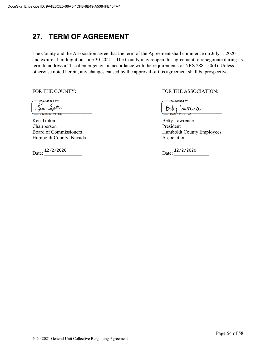# **27. TERM OF AGREEMENT**

The County and the Association agree that the term of the Agreement shall commence on July 1, 2020 and expire at midnight on June 30, 2021. The County may reopen this agreement to renegotiate during its term to address a "fiscal emergency" in accordance with the requirements of NRS 288.150(4). Unless otherwise noted herein, any changes caused by the approval of this agreement shall be prospective.

DocuSianed by:

Ken Tipton Betty Lawrence Chairperson President Humboldt County, Nevada Association

Date:  $\frac{12}{2}$  Date:  $\frac{12}{2}$  Date:  $\frac{12}{2}$  Date:  $\frac{12}{2}$ 

FOR THE COUNTY: FOR THE ASSOCIATION:

DocuSianed by: \_\_\_\_\_\_\_\_\_\_\_\_\_\_\_\_\_\_\_\_\_\_\_\_ \_\_\_\_\_\_\_\_\_\_\_\_\_\_\_\_\_\_\_\_\_\_\_\_

Board of Commissioners Humboldt County Employees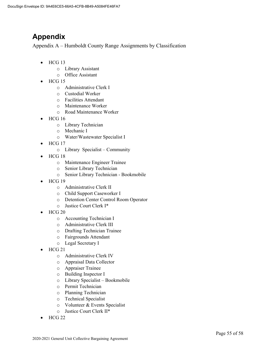# **Appendix**

Appendix A – Humboldt County Range Assignments by Classification

- $\bullet$  HCG 13
	- o Library Assistant
	- o Office Assistant
- HCG 15
	- o Administrative Clerk I
	- o Custodial Worker
	- o Facilities Attendant
	- o Maintenance Worker
	- o Road Maintenance Worker
- HCG 16
	- o Library Technician
	- o Mechanic I
	- o Water/Wastewater Specialist I
- HCG 17
	- o Library Specialist Community
- HCG 18
	- o Maintenance Engineer Trainee
	- o Senior Library Technician
	- o Senior Library Technician Bookmobile
- HCG 19
	- o Administrative Clerk II
	- o Child Support Caseworker I
	- o Detention Center Control Room Operator
	- o Justice Court Clerk I\*
- HCG 20
	- o Accounting Technician I
	- o Administrative Clerk III
	- o Drafting Technician Trainee
	- o Fairgrounds Attendant
	- o Legal Secretary I
- HCG 21
	- o Administrative Clerk IV
	- o Appraisal Data Collector
	- o Appraiser Trainee
	- o Building Inspector I
	- o Library Specialist Bookmobile
	- o Permit Technician
	- o Planning Technician
	- o Technical Specialist
	- o Volunteer & Events Specialist
	- o Justice Court Clerk II\*
- HCG 22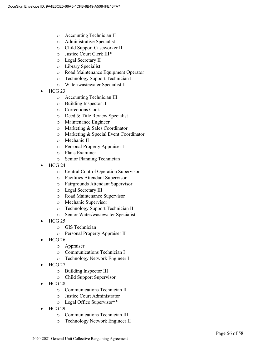- o Accounting Technician II
- o Administrative Specialist
- o Child Support Caseworker II
- o Justice Court Clerk III\*
- o Legal Secretary II
- o Library Specialist
- o Road Maintenance Equipment Operator
- o Technology Support Technician I
- o Water/wastewater Specialist II
- HCG 23
	- o Accounting Technician III
	- o Building Inspector II
	- o Corrections Cook
	- o Deed & Title Review Specialist
	- o Maintenance Engineer
	- o Marketing & Sales Coordinator
	- o Marketing & Special Event Coordinator
	- o Mechanic II
	- o Personal Property Appraiser I
	- o Plans Examiner
	- o Senior Planning Technician
- HCG 24
	- o Central Control Operation Supervisor
	- o Facilities Attendant Supervisor
	- o Fairgrounds Attendant Supervisor
	- o Legal Secretary III
	- o Road Maintenance Supervisor
	- o Mechanic Supervisor
	- o Technology Support Technician II
	- o Senior Water/wastewater Specialist
- HCG 25
	- o GIS Technician
	- o Personal Property Appraiser II
- HCG 26
	- o Appraiser
	- o Communications Technician I
	- o Technology Network Engineer I
- HCG 27
	- o Building Inspector III
	- o Child Support Supervisor
- HCG 28
	- o Communications Technician II
	- o Justice Court Administrator
	- o Legal Office Supervisor\*\*
- HCG 29
	- o Communications Technician III
	- o Technology Network Engineer II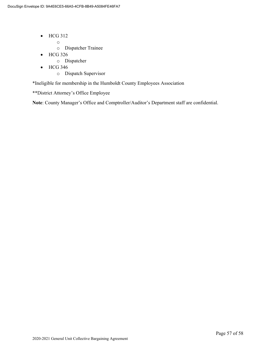- $\bullet$  HCG 312
	- o
		- o Dispatcher Trainee
- HCG 326
	- o Dispatcher
- HCG 346
	- o Dispatch Supervisor

\*Ineligible for membership in the Humboldt County Employees Association

\*\*District Attorney's Office Employee

**Note**: County Manager's Office and Comptroller/Auditor's Department staff are confidential.